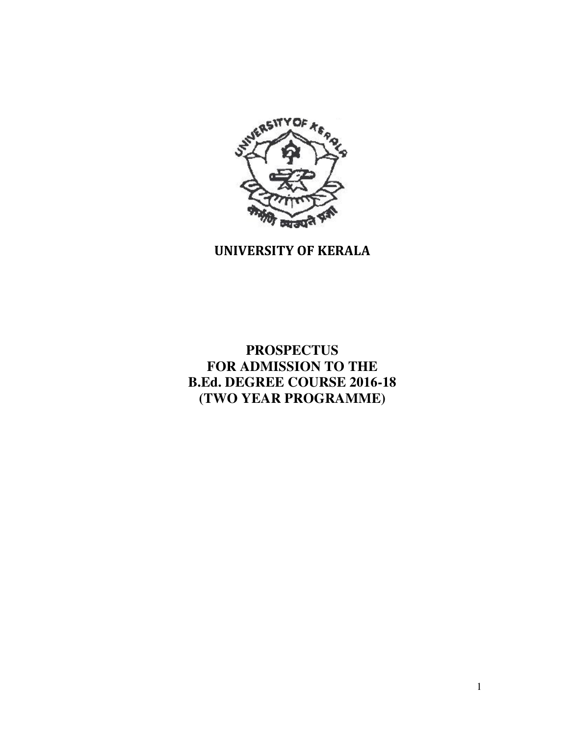

# UNIVERSITY OF KERALA

# **PROSPECTUS FOR ADMISSION TO THE B.Ed. DEGREE COURSE 2016-18 (TWO YEAR PROGRAMME)**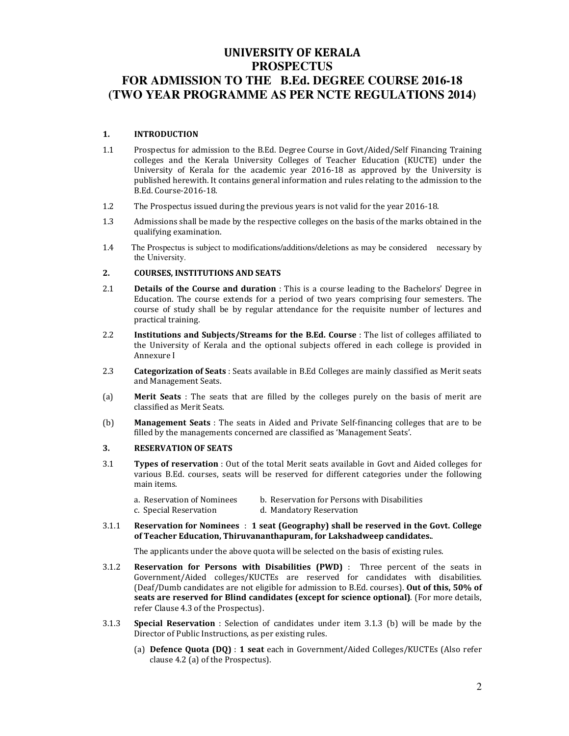## UNIVERSITY OF KERALA **PROSPECTUS FOR ADMISSION TO THE B.Ed. DEGREE COURSE 2016-18 (TWO YEAR PROGRAMME AS PER NCTE REGULATIONS 2014)**

#### 1. INTRODUCTION

- 1.1 Prospectus for admission to the B.Ed. Degree Course in Govt/Aided/Self Financing Training colleges and the Kerala University Colleges of Teacher Education (KUCTE) under the University of Kerala for the academic year 2016-18 as approved by the University is published herewith. It contains general information and rules relating to the admission to the B.Ed. Course-2016-18.
- 1.2 The Prospectus issued during the previous years is not valid for the year 2016-18.
- 1.3 Admissions shall be made by the respective colleges on the basis of the marks obtained in the qualifying examination.
- 1.4 The Prospectus is subject to modifications/additions/deletions as may be considered necessary by the University.

## 2. COURSES, INSTITUTIONS AND SEATS

- 2.1 **Details of the Course and duration**: This is a course leading to the Bachelors' Degree in Education. The course extends for a period of two years comprising four semesters. The course of study shall be by regular attendance for the requisite number of lectures and practical training.
- 2.2 Institutions and Subjects/Streams for the B.Ed. Course : The list of colleges affiliated to the University of Kerala and the optional subjects offered in each college is provided in Annexure I
- 2.3 **Categorization of Seats** : Seats available in B.Ed Colleges are mainly classified as Merit seats and Management Seats.
- (a) Merit Seats : The seats that are filled by the colleges purely on the basis of merit are classified as Merit Seats.
- (b) Management Seats : The seats in Aided and Private Self-financing colleges that are to be filled by the managements concerned are classified as 'Management Seats'.

#### 3. RESERVATION OF SEATS

3.1 Types of reservation : Out of the total Merit seats available in Govt and Aided colleges for various B.Ed. courses, seats will be reserved for different categories under the following main items.

| a. Reservation of Nominees | b. Reservation for Persons with Disabilities |
|----------------------------|----------------------------------------------|
| c. Special Reservation     | d. Mandatory Reservation                     |

#### 3.1.1 Reservation for Nominees : 1 seat (Geography) shall be reserved in the Govt. College of Teacher Education, Thiruvananthapuram, for Lakshadweep candidates..

The applicants under the above quota will be selected on the basis of existing rules.

- 3.1.2 Reservation for Persons with Disabilities (PWD) : Three percent of the seats in Government/Aided colleges/KUCTEs are reserved for candidates with disabilities. (Deaf/Dumb candidates are not eligible for admission to B.Ed. courses). Out of this, 50% of seats are reserved for Blind candidates (except for science optional). (For more details, refer Clause 4.3 of the Prospectus).
- 3.1.3 Special Reservation : Selection of candidates under item 3.1.3 (b) will be made by the Director of Public Instructions, as per existing rules.
	- (a) Defence Quota (DQ) : 1 seat each in Government/Aided Colleges/KUCTEs (Also refer clause 4.2 (a) of the Prospectus).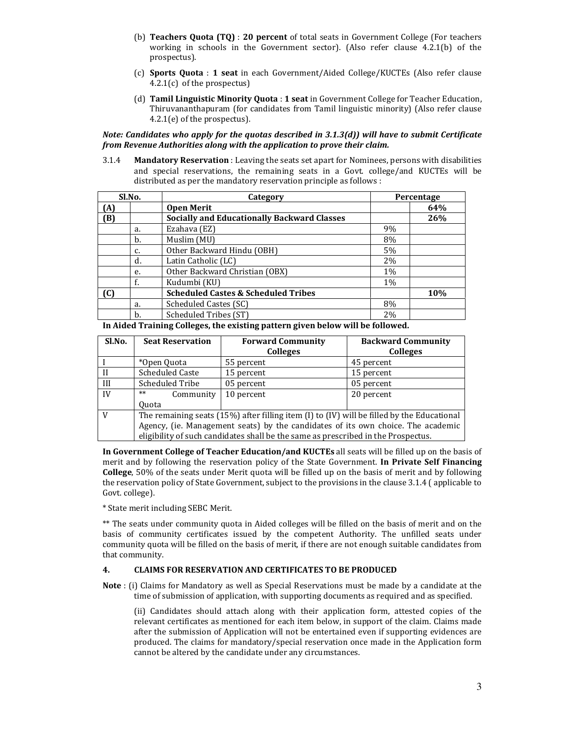- (b) Teachers Quota (TQ) : 20 percent of total seats in Government College (For teachers working in schools in the Government sector). (Also refer clause 4.2.1(b) of the prospectus).
- (c) Sports Quota : 1 seat in each Government/Aided College/KUCTEs (Also refer clause 4.2.1(c) of the prospectus)
- (d) Tamil Linguistic Minority Quota : 1 seat in Government College for Teacher Education, Thiruvananthapuram (for candidates from Tamil linguistic minority) (Also refer clause 4.2.1(e) of the prospectus).

Note: Candidates who apply for the quotas described in 3.1.3(d)) will have to submit Certificate from Revenue Authorities along with the application to prove their claim.

3.1.4 Mandatory Reservation : Leaving the seats set apart for Nominees, persons with disabilities and special reservations, the remaining seats in a Govt. college/and KUCTEs will be distributed as per the mandatory reservation principle as follows :

| Sl.No. |    | Category                                           |       | Percentage |
|--------|----|----------------------------------------------------|-------|------------|
| (A)    |    | <b>Open Merit</b>                                  |       | 64%        |
| (B)    |    | <b>Socially and Educationally Backward Classes</b> |       | 26%        |
|        | a. | Ezahava (EZ)                                       | 9%    |            |
|        | b. | Muslim (MU)                                        | 8%    |            |
|        | c. | Other Backward Hindu (OBH)                         | 5%    |            |
|        | d. | Latin Catholic (LC)                                | $2\%$ |            |
|        | e. | Other Backward Christian (OBX)                     | 1%    |            |
|        | f. | Kudumbi (KU)                                       | 1%    |            |
| (C)    |    | <b>Scheduled Castes &amp; Scheduled Tribes</b>     |       | 10%        |
|        | a. | Scheduled Castes (SC)                              | 8%    |            |
|        | b. | Scheduled Tribes (ST)                              | 2%    |            |

In Aided Training Colleges, the existing pattern given below will be followed.

| Sl.No.   | <b>Seat Reservation</b>                                                                          | <b>Forward Community</b><br><b>Colleges</b>                                       | <b>Backward Community</b><br><b>Colleges</b> |  |
|----------|--------------------------------------------------------------------------------------------------|-----------------------------------------------------------------------------------|----------------------------------------------|--|
|          | *Open Quota                                                                                      | 55 percent                                                                        | 45 percent                                   |  |
| $\rm II$ | <b>Scheduled Caste</b>                                                                           | 15 percent                                                                        | 15 percent                                   |  |
| III      | Scheduled Tribe                                                                                  | 05 percent                                                                        | 05 percent                                   |  |
| IV       | $**$<br>Community                                                                                | 10 percent                                                                        | 20 percent                                   |  |
|          | <b>Ouota</b>                                                                                     |                                                                                   |                                              |  |
| V        | The remaining seats $(15%)$ after filling item $(I)$ to $(IV)$ will be filled by the Educational |                                                                                   |                                              |  |
|          | Agency, (ie. Management seats) by the candidates of its own choice. The academic                 |                                                                                   |                                              |  |
|          |                                                                                                  | eligibility of such candidates shall be the same as prescribed in the Prospectus. |                                              |  |

In Government College of Teacher Education/and KUCTEs all seats will be filled up on the basis of merit and by following the reservation policy of the State Government. In Private Self Financing College, 50% of the seats under Merit quota will be filled up on the basis of merit and by following the reservation policy of State Government, subject to the provisions in the clause 3.1.4 ( applicable to Govt. college).

\* State merit including SEBC Merit.

\*\* The seats under community quota in Aided colleges will be filled on the basis of merit and on the basis of community certificates issued by the competent Authority. The unfilled seats under community quota will be filled on the basis of merit, if there are not enough suitable candidates from that community.

#### 4. CLAIMS FOR RESERVATION AND CERTIFICATES TO BE PRODUCED

Note : (i) Claims for Mandatory as well as Special Reservations must be made by a candidate at the time of submission of application, with supporting documents as required and as specified.

 (ii) Candidates should attach along with their application form, attested copies of the relevant certificates as mentioned for each item below, in support of the claim. Claims made after the submission of Application will not be entertained even if supporting evidences are produced. The claims for mandatory/special reservation once made in the Application form cannot be altered by the candidate under any circumstances.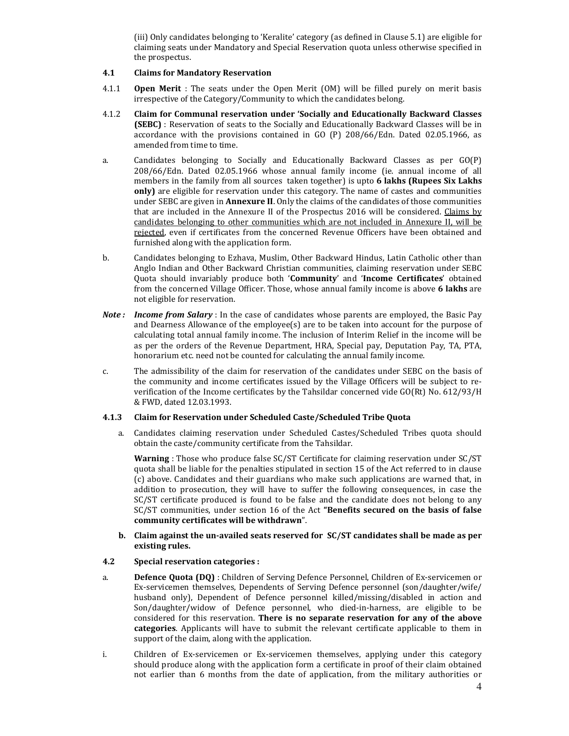(iii) Only candidates belonging to 'Keralite' category (as defined in Clause 5.1) are eligible for claiming seats under Mandatory and Special Reservation quota unless otherwise specified in the prospectus.

#### 4.1 Claims for Mandatory Reservation

- 4.1.1 **Open Merit** : The seats under the Open Merit (OM) will be filled purely on merit basis irrespective of the Category/Community to which the candidates belong.
- 4.1.2 Claim for Communal reservation under 'Socially and Educationally Backward Classes (SEBC) : Reservation of seats to the Socially and Educationally Backward Classes will be in accordance with the provisions contained in GO (P) 208/66/Edn. Dated 02.05.1966, as amended from time to time.
- a. Candidates belonging to Socially and Educationally Backward Classes as per GO(P) 208/66/Edn. Dated 02.05.1966 whose annual family income (ie. annual income of all members in the family from all sources taken together) is upto 6 lakhs (Rupees Six Lakhs only) are eligible for reservation under this category. The name of castes and communities under SEBC are given in **Annexure II**. Only the claims of the candidates of those communities that are included in the Annexure II of the Prospectus 2016 will be considered. Claims by candidates belonging to other communities which are not included in Annexure II, will be rejected, even if certificates from the concerned Revenue Officers have been obtained and furnished along with the application form.
- b. Candidates belonging to Ezhava, Muslim, Other Backward Hindus, Latin Catholic other than Anglo Indian and Other Backward Christian communities, claiming reservation under SEBC Quota should invariably produce both 'Community' and 'Income Certificates' obtained from the concerned Village Officer. Those, whose annual family income is above 6 lakhs are not eligible for reservation.
- **Note :** Income from Salary : In the case of candidates whose parents are employed, the Basic Pay and Dearness Allowance of the employee(s) are to be taken into account for the purpose of calculating total annual family income. The inclusion of Interim Relief in the income will be as per the orders of the Revenue Department, HRA, Special pay, Deputation Pay, TA, PTA, honorarium etc. need not be counted for calculating the annual family income.
- c. The admissibility of the claim for reservation of the candidates under SEBC on the basis of the community and income certificates issued by the Village Officers will be subject to reverification of the Income certificates by the Tahsildar concerned vide GO(Rt) No. 612/93/H & FWD, dated 12.03.1993.

#### 4.1.3 Claim for Reservation under Scheduled Caste/Scheduled Tribe Quota

a. Candidates claiming reservation under Scheduled Castes/Scheduled Tribes quota should obtain the caste/community certificate from the Tahsildar.

Warning : Those who produce false SC/ST Certificate for claiming reservation under SC/ST quota shall be liable for the penalties stipulated in section 15 of the Act referred to in clause (c) above. Candidates and their guardians who make such applications are warned that, in addition to prosecution, they will have to suffer the following consequences, in case the SC/ST certificate produced is found to be false and the candidate does not belong to any SC/ST communities, under section 16 of the Act "Benefits secured on the basis of false community certificates will be withdrawn".

#### b. Claim against the un-availed seats reserved for SC/ST candidates shall be made as per existing rules.

#### 4.2 Special reservation categories :

- a. Defence Quota (DQ) : Children of Serving Defence Personnel, Children of Ex-servicemen or Ex-servicemen themselves, Dependents of Serving Defence personnel (son/daughter/wife/ husband only), Dependent of Defence personnel killed/missing/disabled in action and Son/daughter/widow of Defence personnel, who died-in-harness, are eligible to be considered for this reservation. There is no separate reservation for any of the above categories. Applicants will have to submit the relevant certificate applicable to them in support of the claim, along with the application.
- i. Children of Ex-servicemen or Ex-servicemen themselves, applying under this category should produce along with the application form a certificate in proof of their claim obtained not earlier than 6 months from the date of application, from the military authorities or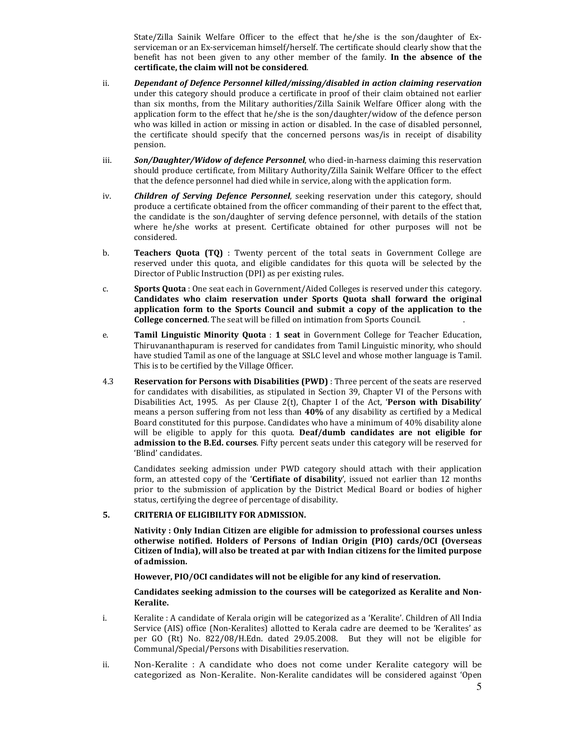State/Zilla Sainik Welfare Officer to the effect that he/she is the son/daughter of Exserviceman or an Ex-serviceman himself/herself. The certificate should clearly show that the benefit has not been given to any other member of the family. In the absence of the certificate, the claim will not be considered.

- ii. Dependant of Defence Personnel killed/missing/disabled in action claiming reservation under this category should produce a certificate in proof of their claim obtained not earlier than six months, from the Military authorities/Zilla Sainik Welfare Officer along with the application form to the effect that he/she is the son/daughter/widow of the defence person who was killed in action or missing in action or disabled. In the case of disabled personnel, the certificate should specify that the concerned persons was/is in receipt of disability pension.
- iii. Son/Daughter/Widow of defence Personnel, who died-in-harness claiming this reservation should produce certificate, from Military Authority/Zilla Sainik Welfare Officer to the effect that the defence personnel had died while in service, along with the application form.
- iv. **Children of Serving Defence Personnel**, seeking reservation under this category, should produce a certificate obtained from the officer commanding of their parent to the effect that, the candidate is the son/daughter of serving defence personnel, with details of the station where he/she works at present. Certificate obtained for other purposes will not be considered.
- b. Teachers Quota (TQ) : Twenty percent of the total seats in Government College are reserved under this quota, and eligible candidates for this quota will be selected by the Director of Public Instruction (DPI) as per existing rules.
- c. Sports Quota : One seat each in Government/Aided Colleges is reserved under this category. Candidates who claim reservation under Sports Quota shall forward the original application form to the Sports Council and submit a copy of the application to the College concerned. The seat will be filled on intimation from Sports Council. .
- e. Tamil Linguistic Minority Quota : 1 seat in Government College for Teacher Education, Thiruvananthapuram is reserved for candidates from Tamil Linguistic minority, who should have studied Tamil as one of the language at SSLC level and whose mother language is Tamil. This is to be certified by the Village Officer.
- 4.3 Reservation for Persons with Disabilities (PWD) : Three percent of the seats are reserved for candidates with disabilities, as stipulated in Section 39, Chapter VI of the Persons with Disabilities Act, 1995. As per Clause 2(t), Chapter I of the Act, 'Person with Disability' means a person suffering from not less than 40% of any disability as certified by a Medical Board constituted for this purpose. Candidates who have a minimum of 40% disability alone will be eligible to apply for this quota. Deaf/dumb candidates are not eligible for admission to the B.Ed. courses. Fifty percent seats under this category will be reserved for 'Blind' candidates.

Candidates seeking admission under PWD category should attach with their application form, an attested copy of the 'Certifiate of disability', issued not earlier than 12 months prior to the submission of application by the District Medical Board or bodies of higher status, certifying the degree of percentage of disability.

## 5. CRITERIA OF ELIGIBILITY FOR ADMISSION.

 Nativity : Only Indian Citizen are eligible for admission to professional courses unless otherwise notified. Holders of Persons of Indian Origin (PIO) cards/OCI (Overseas Citizen of India), will also be treated at par with Indian citizens for the limited purpose of admission.

However, PIO/OCI candidates will not be eligible for any kind of reservation.

Candidates seeking admission to the courses will be categorized as Keralite and Non-Keralite.

- i. Keralite : A candidate of Kerala origin will be categorized as a 'Keralite'. Children of All India Service (AIS) office (Non-Keralites) allotted to Kerala cadre are deemed to be 'Keralites' as per GO (Rt) No. 822/08/H.Edn. dated 29.05.2008. But they will not be eligible for Communal/Special/Persons with Disabilities reservation.
- ii. Non-Keralite : A candidate who does not come under Keralite category will be categorized as Non-Keralite. Non-Keralite candidates will be considered against 'Open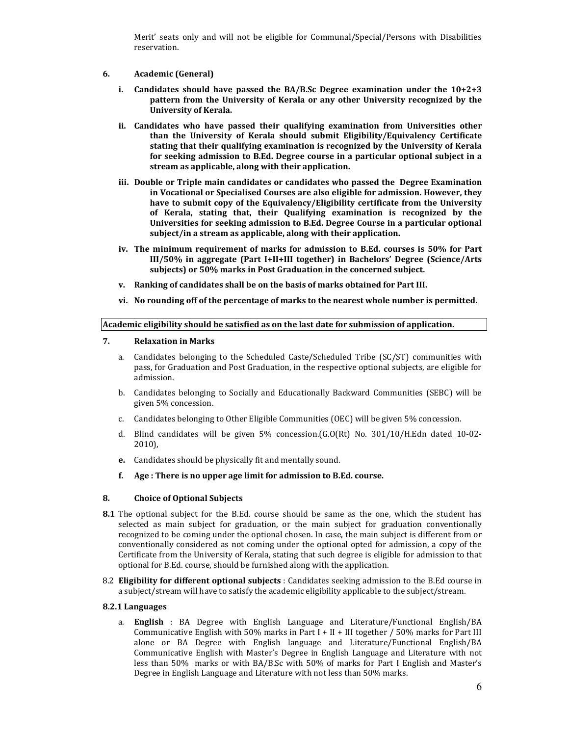Merit' seats only and will not be eligible for Communal/Special/Persons with Disabilities reservation.

- 6. Academic (General)
	- i. Candidates should have passed the BA/B.Sc Degree examination under the  $10+2+3$ pattern from the University of Kerala or any other University recognized by the University of Kerala.
	- ii. Candidates who have passed their qualifying examination from Universities other than the University of Kerala should submit Eligibility/Equivalency Certificate stating that their qualifying examination is recognized by the University of Kerala for seeking admission to B.Ed. Degree course in a particular optional subject in a stream as applicable, along with their application.
	- iii. Double or Triple main candidates or candidates who passed the Degree Examination in Vocational or Specialised Courses are also eligible for admission. However, they have to submit copy of the Equivalency/Eligibility certificate from the University of Kerala, stating that, their Qualifying examination is recognized by the Universities for seeking admission to B.Ed. Degree Course in a particular optional subject/in a stream as applicable, along with their application.
	- iv. The minimum requirement of marks for admission to B.Ed. courses is 50% for Part III/50% in aggregate (Part I+II+III together) in Bachelors' Degree (Science/Arts subjects) or 50% marks in Post Graduation in the concerned subject.
	- v. Ranking of candidates shall be on the basis of marks obtained for Part III.
	- vi. No rounding off of the percentage of marks to the nearest whole number is permitted.

#### Academic eligibility should be satisfied as on the last date for submission of application.

#### 7. Relaxation in Marks

- a. Candidates belonging to the Scheduled Caste/Scheduled Tribe (SC/ST) communities with pass, for Graduation and Post Graduation, in the respective optional subjects, are eligible for admission.
- b. Candidates belonging to Socially and Educationally Backward Communities (SEBC) will be given 5% concession.
- c. Candidates belonging to Other Eligible Communities (OEC) will be given 5% concession.
- d. Blind candidates will be given 5% concession.(G.O(Rt) No. 301/10/H.Edn dated 10-02- 2010),
- e. Candidates should be physically fit and mentally sound.
- f. Age : There is no upper age limit for admission to B.Ed. course.

## 8. Choice of Optional Subjects

- 8.1 The optional subject for the B.Ed. course should be same as the one, which the student has selected as main subject for graduation, or the main subject for graduation conventionally recognized to be coming under the optional chosen. In case, the main subject is different from or conventionally considered as not coming under the optional opted for admission, a copy of the Certificate from the University of Kerala, stating that such degree is eligible for admission to that optional for B.Ed. course, should be furnished along with the application.
- 8.2 Eligibility for different optional subjects : Candidates seeking admission to the B.Ed course in a subject/stream will have to satisfy the academic eligibility applicable to the subject/stream.

## 8.2.1 Languages

a. English : BA Degree with English Language and Literature/Functional English/BA Communicative English with 50% marks in Part I + II + III together  $/ 50\%$  marks for Part III alone or BA Degree with English language and Literature/Functional English/BA Communicative English with Master's Degree in English Language and Literature with not less than 50% marks or with BA/B.Sc with 50% of marks for Part I English and Master's Degree in English Language and Literature with not less than 50% marks.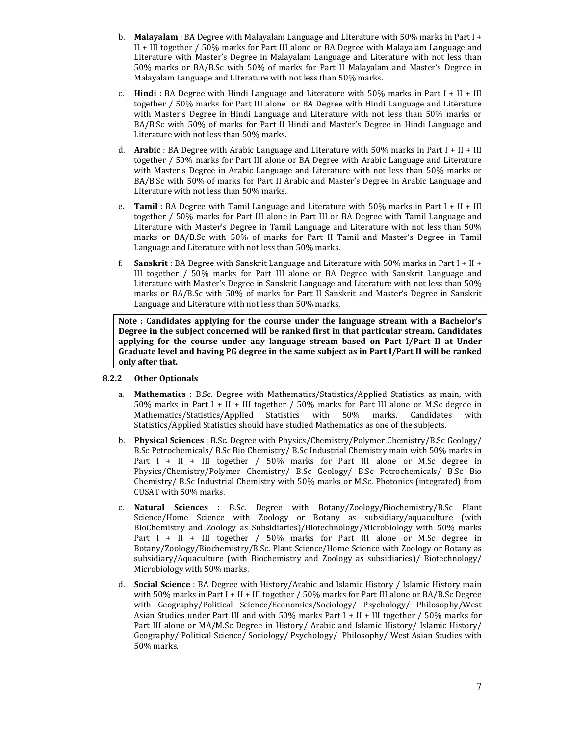- b. Malayalam : BA Degree with Malayalam Language and Literature with  $50\%$  marks in Part I + II + III together / 50% marks for Part III alone or BA Degree with Malayalam Language and Literature with Master's Degree in Malayalam Language and Literature with not less than 50% marks or BA/B.Sc with 50% of marks for Part II Malayalam and Master's Degree in Malayalam Language and Literature with not less than 50% marks.
- c. **Hindi** : BA Degree with Hindi Language and Literature with 50% marks in Part I + II + III together / 50% marks for Part III alone or BA Degree with Hindi Language and Literature with Master's Degree in Hindi Language and Literature with not less than 50% marks or BA/B.Sc with 50% of marks for Part II Hindi and Master's Degree in Hindi Language and Literature with not less than 50% marks.
- d. **Arabic**: BA Degree with Arabic Language and Literature with 50% marks in Part I + II + III together / 50% marks for Part III alone or BA Degree with Arabic Language and Literature with Master's Degree in Arabic Language and Literature with not less than 50% marks or BA/B.Sc with 50% of marks for Part II Arabic and Master's Degree in Arabic Language and Literature with not less than 50% marks.
- e. **Tamil** : BA Degree with Tamil Language and Literature with  $50\%$  marks in Part I + II + III together / 50% marks for Part III alone in Part III or BA Degree with Tamil Language and Literature with Master's Degree in Tamil Language and Literature with not less than 50% marks or BA/B.Sc with 50% of marks for Part II Tamil and Master's Degree in Tamil Language and Literature with not less than 50% marks.
- f. Sanskrit : BA Degree with Sanskrit Language and Literature with 50% marks in Part I + II + III together / 50% marks for Part III alone or BA Degree with Sanskrit Language and Literature with Master's Degree in Sanskrit Language and Literature with not less than 50% marks or BA/B.Sc with 50% of marks for Part II Sanskrit and Master's Degree in Sanskrit Language and Literature with not less than 50% marks.

Note : Candidates applying for the course under the language stream with a Bachelor's Degree in the subject concerned will be ranked first in that particular stream. Candidates applying for the course under any language stream based on Part I/Part II at Under Graduate level and having PG degree in the same subject as in Part I/Part II will be ranked only after that.

## 8.2.2 Other Optionals

- a. Mathematics : B.Sc. Degree with Mathematics/Statistics/Applied Statistics as main, with 50% marks in Part I + II + III together / 50% marks for Part III alone or M.Sc degree in Mathematics/Statistics/Applied Statistics with 50% marks. Candidates with Statistics/Applied Statistics should have studied Mathematics as one of the subjects.
- b. Physical Sciences : B.Sc. Degree with Physics/Chemistry/Polymer Chemistry/B.Sc Geology/ B.Sc Petrochemicals/ B.Sc Bio Chemistry/ B.Sc Industrial Chemistry main with 50% marks in Part I + II + III together / 50% marks for Part III alone or M.Sc degree in Physics/Chemistry/Polymer Chemistry/ B.Sc Geology/ B.Sc Petrochemicals/ B.Sc Bio Chemistry/ B.Sc Industrial Chemistry with 50% marks or M.Sc. Photonics (integrated) from CUSAT with 50% marks.
- c. Natural Sciences : B.Sc. Degree with Botany/Zoology/Biochemistry/B.Sc Plant Science/Home Science with Zoology or Botany as subsidiary/aquaculture (with BioChemistry and Zoology as Subsidiaries)/Biotechnology/Microbiology with 50% marks Part I + II + III together / 50% marks for Part III alone or M.Sc degree in Botany/Zoology/Biochemistry/B.Sc. Plant Science/Home Science with Zoology or Botany as subsidiary/Aquaculture (with Biochemistry and Zoology as subsidiaries)/ Biotechnology/ Microbiology with 50% marks.
- d. **Social Science** : BA Degree with History/Arabic and Islamic History / Islamic History main with 50% marks in Part I + II + III together / 50% marks for Part III alone or BA/B.Sc Degree with Geography/Political Science/Economics/Sociology/ Psychology/ Philosophy/West Asian Studies under Part III and with  $50\%$  marks Part I + II + III together /  $50\%$  marks for Part III alone or MA/M.Sc Degree in History/ Arabic and Islamic History/ Islamic History/ Geography/ Political Science/ Sociology/ Psychology/ Philosophy/ West Asian Studies with 50% marks.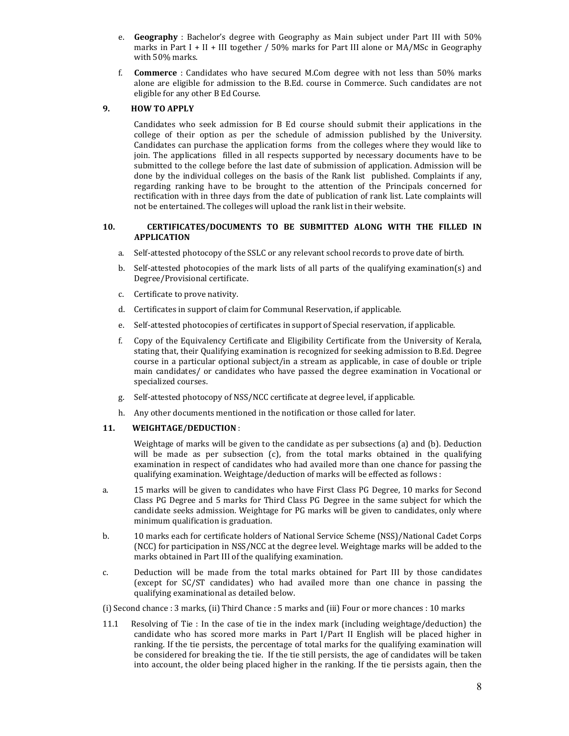- e. Geography : Bachelor's degree with Geography as Main subject under Part III with 50% marks in Part I + II + III together  $/$  50% marks for Part III alone or MA/MSc in Geography with 50% marks.
- f. Commerce : Candidates who have secured M.Com degree with not less than 50% marks alone are eligible for admission to the B.Ed. course in Commerce. Such candidates are not eligible for any other B Ed Course.

#### 9. HOW TO APPLY

Candidates who seek admission for B Ed course should submit their applications in the college of their option as per the schedule of admission published by the University. Candidates can purchase the application forms from the colleges where they would like to join. The applications filled in all respects supported by necessary documents have to be submitted to the college before the last date of submission of application. Admission will be done by the individual colleges on the basis of the Rank list published. Complaints if any, regarding ranking have to be brought to the attention of the Principals concerned for rectification with in three days from the date of publication of rank list. Late complaints will not be entertained. The colleges will upload the rank list in their website.

#### 10. CERTIFICATES/DOCUMENTS TO BE SUBMITTED ALONG WITH THE FILLED IN APPLICATION

- a. Self-attested photocopy of the SSLC or any relevant school records to prove date of birth.
- b. Self-attested photocopies of the mark lists of all parts of the qualifying examination(s) and Degree/Provisional certificate.
- c. Certificate to prove nativity.
- d. Certificates in support of claim for Communal Reservation, if applicable.
- e. Self-attested photocopies of certificates in support of Special reservation, if applicable.
- f. Copy of the Equivalency Certificate and Eligibility Certificate from the University of Kerala, stating that, their Qualifying examination is recognized for seeking admission to B.Ed. Degree course in a particular optional subject/in a stream as applicable, in case of double or triple main candidates/ or candidates who have passed the degree examination in Vocational or specialized courses.
- g. Self-attested photocopy of NSS/NCC certificate at degree level, if applicable.
- h. Any other documents mentioned in the notification or those called for later.

## 11. WEIGHTAGE/DEDUCTION :

Weightage of marks will be given to the candidate as per subsections (a) and (b). Deduction will be made as per subsection (c), from the total marks obtained in the qualifying examination in respect of candidates who had availed more than one chance for passing the qualifying examination. Weightage/deduction of marks will be effected as follows :

- a. 15 marks will be given to candidates who have First Class PG Degree, 10 marks for Second Class PG Degree and 5 marks for Third Class PG Degree in the same subject for which the candidate seeks admission. Weightage for PG marks will be given to candidates, only where minimum qualification is graduation.
- b. 10 marks each for certificate holders of National Service Scheme (NSS)/National Cadet Corps (NCC) for participation in NSS/NCC at the degree level. Weightage marks will be added to the marks obtained in Part III of the qualifying examination.
- c. Deduction will be made from the total marks obtained for Part III by those candidates (except for SC/ST candidates) who had availed more than one chance in passing the qualifying examinational as detailed below.

(i) Second chance : 3 marks, (ii) Third Chance : 5 marks and (iii) Four or more chances : 10 marks

11.1 Resolving of Tie : In the case of tie in the index mark (including weightage/deduction) the candidate who has scored more marks in Part I/Part II English will be placed higher in ranking. If the tie persists, the percentage of total marks for the qualifying examination will be considered for breaking the tie. If the tie still persists, the age of candidates will be taken into account, the older being placed higher in the ranking. If the tie persists again, then the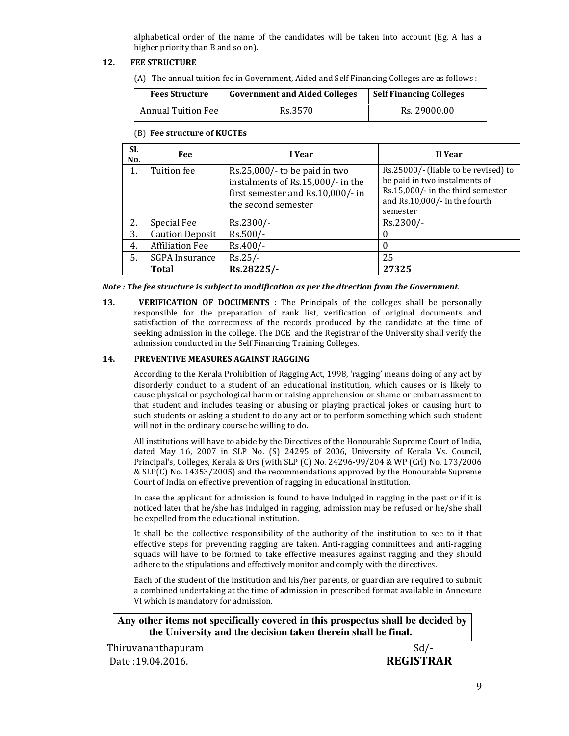alphabetical order of the name of the candidates will be taken into account (Eg. A has a higher priority than B and so on).

## 12. FEE STRUCTURE

(A) The annual tuition fee in Government, Aided and Self Financing Colleges are as follows :

| <b>Fees Structure</b>     | <b>Government and Aided Colleges</b> | <b>Self Financing Colleges</b> |
|---------------------------|--------------------------------------|--------------------------------|
| <b>Annual Tuition Fee</b> | Rs.3570                              | Rs. 29000.00                   |

## (B) Fee structure of KUCTEs

| SI.<br>No. | Fee                    | I Year                                                                                                                         | II Year                                                                                                                                                 |
|------------|------------------------|--------------------------------------------------------------------------------------------------------------------------------|---------------------------------------------------------------------------------------------------------------------------------------------------------|
| 1.         | Tuition fee            | Rs.25,000/- to be paid in two<br>instalments of Rs.15,000/- in the<br>first semester and Rs.10,000/- in<br>the second semester | Rs.25000/- (liable to be revised) to<br>be paid in two instalments of<br>Rs.15,000/- in the third semester<br>and Rs.10,000/- in the fourth<br>semester |
| 2.         | Special Fee            | Rs.2300/-                                                                                                                      | Rs.2300/-                                                                                                                                               |
| 3.         | <b>Caution Deposit</b> | $Rs.500/-$                                                                                                                     | $\Omega$                                                                                                                                                |
| 4.         | <b>Affiliation Fee</b> | Rs.400/-                                                                                                                       | $\Omega$                                                                                                                                                |
| 5.         | <b>SGPA</b> Insurance  | $Rs.25/-$                                                                                                                      | 25                                                                                                                                                      |
|            | Total                  | Rs.28225/-                                                                                                                     | 27325                                                                                                                                                   |

Note : The fee structure is subject to modification as per the direction from the Government.

13. **VERIFICATION OF DOCUMENTS** : The Principals of the colleges shall be personally responsible for the preparation of rank list, verification of original documents and satisfaction of the correctness of the records produced by the candidate at the time of seeking admission in the college. The DCE and the Registrar of the University shall verify the admission conducted in the Self Financing Training Colleges.

## 14. PREVENTIVE MEASURES AGAINST RAGGING

According to the Kerala Prohibition of Ragging Act, 1998, 'ragging' means doing of any act by disorderly conduct to a student of an educational institution, which causes or is likely to cause physical or psychological harm or raising apprehension or shame or embarrassment to that student and includes teasing or abusing or playing practical jokes or causing hurt to such students or asking a student to do any act or to perform something which such student will not in the ordinary course be willing to do.

All institutions will have to abide by the Directives of the Honourable Supreme Court of India, dated May 16, 2007 in SLP No. (S) 24295 of 2006, University of Kerala Vs. Council, Principal's, Colleges, Kerala & Ors (with SLP (C) No. 24296-99/204 & WP (Crl) No. 173/2006 & SLP(C) No. 14353/2005) and the recommendations approved by the Honourable Supreme Court of India on effective prevention of ragging in educational institution.

In case the applicant for admission is found to have indulged in ragging in the past or if it is noticed later that he/she has indulged in ragging, admission may be refused or he/she shall be expelled from the educational institution.

It shall be the collective responsibility of the authority of the institution to see to it that effective steps for preventing ragging are taken. Anti-ragging committees and anti-ragging squads will have to be formed to take effective measures against ragging and they should adhere to the stipulations and effectively monitor and comply with the directives.

Each of the student of the institution and his/her parents, or guardian are required to submit a combined undertaking at the time of admission in prescribed format available in Annexure VI which is mandatory for admission.

**Any other items not specifically covered in this prospectus shall be decided by the University and the decision taken therein shall be final.** 

Thiruvananthapuram Sd/-Date :19.04.2016. REGISTRAR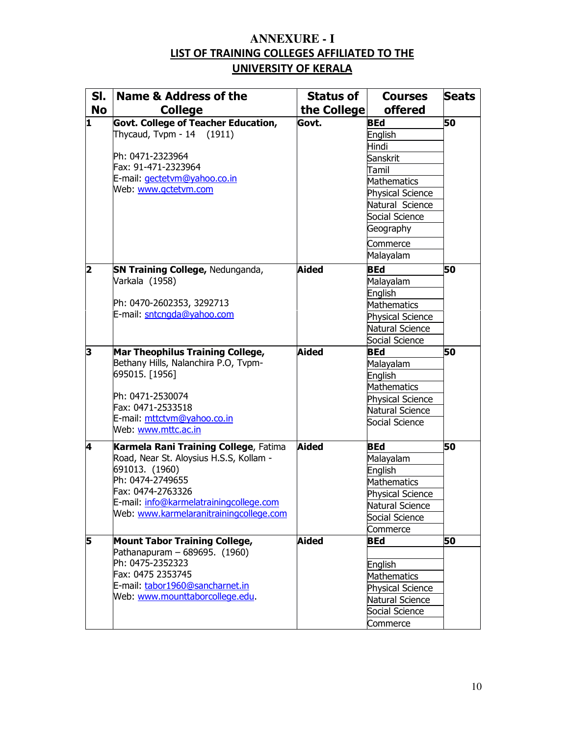## **ANNEXURE - I**  LIST OF TRAINING COLLEGES AFFILIATED TO THE UNIVERSITY OF KERALA

| SI.       | Name & Address of the                   | <b>Status of</b> | <b>Courses</b>          | <b>Seats</b> |
|-----------|-----------------------------------------|------------------|-------------------------|--------------|
| <b>No</b> | <b>College</b>                          | the College      | <b>offered</b>          |              |
| I1        | Govt. College of Teacher Education,     | Govt.            | <b>BEd</b>              | 50           |
|           | Thycaud, Tvpm - $14$ (1911)             |                  | English                 |              |
|           |                                         |                  | Hindi                   |              |
|           | Ph: 0471-2323964                        |                  | Sanskrit                |              |
|           | Fax: 91-471-2323964                     |                  | Tamil                   |              |
|           | E-mail: gectetym@yahoo.co.in            |                  | Mathematics             |              |
|           | Web: www.gctetvm.com                    |                  | <b>Physical Science</b> |              |
|           |                                         |                  | Natural Science         |              |
|           |                                         |                  | Social Science          |              |
|           |                                         |                  | Geography               |              |
|           |                                         |                  | Commerce                |              |
|           |                                         |                  | Malayalam               |              |
| 2         | <b>SN Training College, Nedunganda,</b> | Aided            | <b>BEd</b>              | 50           |
|           | Varkala (1958)                          |                  | Malayalam               |              |
|           |                                         |                  | English                 |              |
|           | Ph: 0470-2602353, 3292713               |                  | Mathematics             |              |
|           | E-mail: sntcngda@yahoo.com              |                  | Physical Science        |              |
|           |                                         |                  | Natural Science         |              |
|           |                                         |                  | Social Science          |              |
| 3         | Mar Theophilus Training College,        | Aided            | <b>BEd</b>              | 50           |
|           | Bethany Hills, Nalanchira P.O, Tvpm-    |                  | Malayalam               |              |
|           | 695015. [1956]                          |                  | English                 |              |
|           |                                         |                  | Mathematics             |              |
|           | Ph: 0471-2530074                        |                  | <b>Physical Science</b> |              |
|           | Fax: 0471-2533518                       |                  | Natural Science         |              |
|           | E-mail: mttctvm@yahoo.co.in             |                  | Social Science          |              |
|           | Web: www.mttc.ac.in                     |                  |                         |              |
| 4         | Karmela Rani Training College, Fatima   | <b>Aided</b>     | <b>BEd</b>              | 50           |
|           | Road, Near St. Aloysius H.S.S, Kollam - |                  | Malayalam               |              |
|           | 691013. (1960)                          |                  | English                 |              |
|           | Ph: 0474-2749655                        |                  | Mathematics             |              |
|           | Fax: 0474-2763326                       |                  | <b>Physical Science</b> |              |
|           | E-mail: info@karmelatrainingcollege.com |                  | Natural Science         |              |
|           | Web: www.karmelaranitrainingcollege.com |                  | Social Science          |              |
|           |                                         |                  | Commerce                |              |
| 5         | <b>Mount Tabor Training College,</b>    | <b>Aided</b>     | <b>BEd</b>              | 50           |
|           | Pathanapuram - 689695. $(1960)$         |                  |                         |              |
|           | Ph: 0475-2352323                        |                  | English                 |              |
|           | Fax: 0475 2353745                       |                  | Mathematics             |              |
|           | E-mail: tabor1960@sancharnet.in         |                  | <b>Physical Science</b> |              |
|           | Web: www.mounttaborcollege.edu.         |                  | Natural Science         |              |
|           |                                         |                  | Social Science          |              |
|           |                                         |                  | Commerce                |              |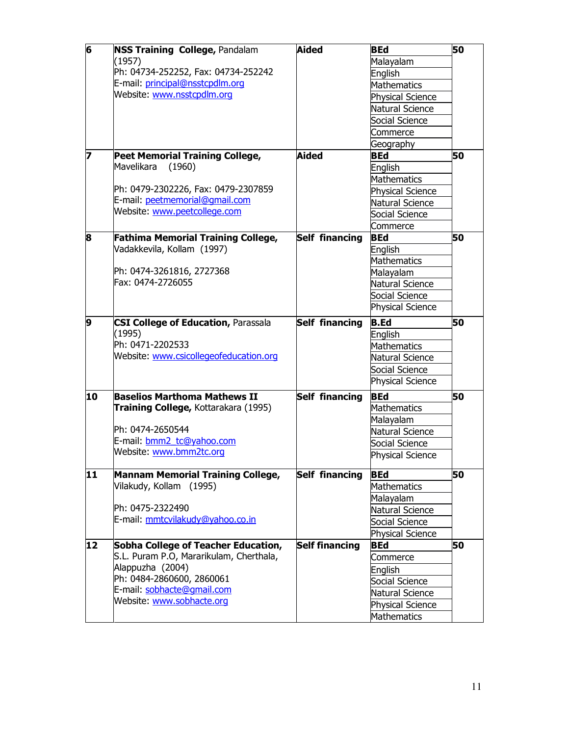| $\overline{6}$ | <b>NSS Training College, Pandalam</b>      | <b>Aided</b>          | <b>BEd</b>              | 50 |
|----------------|--------------------------------------------|-----------------------|-------------------------|----|
|                | (1957)                                     |                       | Malayalam               |    |
|                | Ph: 04734-252252, Fax: 04734-252242        |                       | English                 |    |
|                | E-mail: principal@nsstcpdlm.org            |                       | <b>Mathematics</b>      |    |
|                | Website: www.nsstcpdlm.org                 |                       | Physical Science        |    |
|                |                                            |                       | Natural Science         |    |
|                |                                            |                       | Social Science          |    |
|                |                                            |                       | Commerce                |    |
|                |                                            |                       | Geography               |    |
| 7              | <b>Peet Memorial Training College,</b>     | Aided                 | <b>BEd</b>              | 50 |
|                | Mavelikara<br>(1960)                       |                       | English                 |    |
|                |                                            |                       | Mathematics             |    |
|                | Ph: 0479-2302226, Fax: 0479-2307859        |                       | <b>Physical Science</b> |    |
|                | E-mail: peetmemorial@gmail.com             |                       | Natural Science         |    |
|                | Website: www.peetcollege.com               |                       | Social Science          |    |
|                |                                            |                       | Commerce                |    |
| 8              | <b>Fathima Memorial Training College,</b>  | Self financing        | <b>BEd</b>              | 50 |
|                | Vadakkevila, Kollam (1997)                 |                       | English                 |    |
|                |                                            |                       | Mathematics             |    |
|                | Ph: 0474-3261816, 2727368                  |                       | Malayalam               |    |
|                | Fax: 0474-2726055                          |                       | Natural Science         |    |
|                |                                            |                       | Social Science          |    |
|                |                                            |                       | <b>Physical Science</b> |    |
| 9              | <b>CSI College of Education, Parassala</b> | Self financing        | <b>B.Ed</b>             | 50 |
|                | (1995)                                     |                       | English                 |    |
|                | Ph: 0471-2202533                           |                       | Mathematics             |    |
|                | Website: www.csicollegeofeducation.org     |                       | Natural Science         |    |
|                |                                            |                       | Social Science          |    |
|                |                                            |                       | <b>Physical Science</b> |    |
| 10             | <b>Baselios Marthoma Mathews II</b>        | Self financing        | <b>BEd</b>              | 50 |
|                | Training College, Kottarakara (1995)       |                       | Mathematics             |    |
|                |                                            |                       | Malayalam               |    |
|                | Ph: 0474-2650544                           |                       | Natural Science         |    |
|                | E-mail: bmm2 tc@yahoo.com                  |                       | Social Science          |    |
|                | Website: www.bmm2tc.org                    |                       | <b>Physical Science</b> |    |
|                |                                            |                       |                         |    |
| 11             | <b>Mannam Memorial Training College,</b>   | <b>Self financing</b> | <b>BEd</b>              | 50 |
|                | Vilakudy, Kollam (1995)                    |                       | Mathematics             |    |
|                |                                            |                       | Malayalam               |    |
|                | Ph: 0475-2322490                           |                       | Natural Science         |    |
|                | E-mail: mmtcvilakudy@yahoo.co.in           |                       | Social Science          |    |
|                |                                            |                       | Physical Science        |    |
| 12             | Sobha College of Teacher Education,        | <b>Self financing</b> | <b>BEd</b>              | 50 |
|                | S.L. Puram P.O, Mararikulam, Cherthala,    |                       | Commerce                |    |
|                | Alappuzha (2004)                           |                       | English                 |    |
|                | Ph: 0484-2860600, 2860061                  |                       | Social Science          |    |
|                | E-mail: sobhacte@gmail.com                 |                       | Natural Science         |    |
|                | Website: www.sobhacte.org                  |                       | Physical Science        |    |
|                |                                            |                       | <b>Mathematics</b>      |    |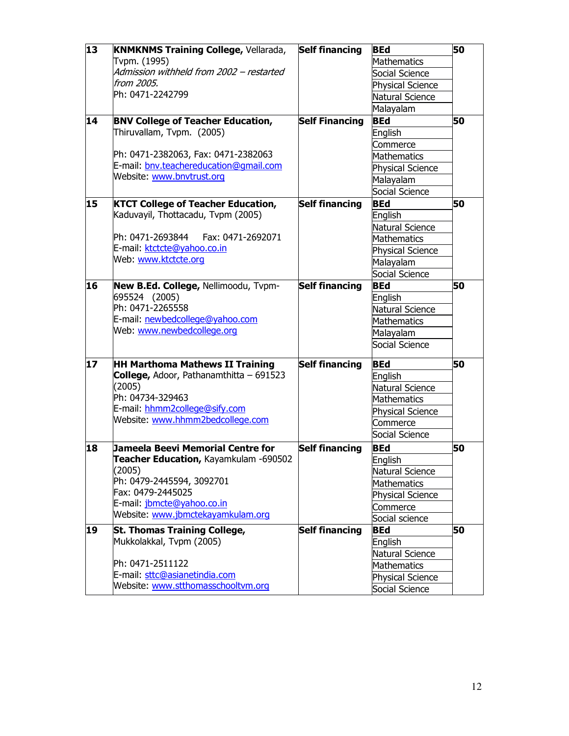| $\overline{13}$ | <b>KNMKNMS Training College, Vellarada,</b> | <b>Self financing</b> | <b>BEd</b>              | 50 |
|-----------------|---------------------------------------------|-----------------------|-------------------------|----|
|                 | Tvpm. (1995)                                |                       | Mathematics             |    |
|                 | Admission withheld from 2002 - restarted    |                       | Social Science          |    |
|                 | from 2005.                                  |                       | <b>Physical Science</b> |    |
|                 | Ph: 0471-2242799                            |                       | Natural Science         |    |
|                 |                                             |                       | Malayalam               |    |
| 14              | <b>BNV College of Teacher Education,</b>    | <b>Self Financing</b> | <b>BEd</b>              | 50 |
|                 | Thiruvallam, Tvpm. (2005)                   |                       | English                 |    |
|                 |                                             |                       | Commerce                |    |
|                 | Ph: 0471-2382063, Fax: 0471-2382063         |                       | Mathematics             |    |
|                 | E-mail: bnv.teachereducation@gmail.com      |                       | <b>Physical Science</b> |    |
|                 | Website: www.bnvtrust.org                   |                       | Malayalam               |    |
|                 |                                             |                       | Social Science          |    |
| 15              | <b>KTCT College of Teacher Education,</b>   | <b>Self financing</b> | <b>BEd</b>              | 50 |
|                 | Kaduvayil, Thottacadu, Tvpm (2005)          |                       | English                 |    |
|                 |                                             |                       | Natural Science         |    |
|                 | Ph: 0471-2693844    Fax: 0471-2692071       |                       | Mathematics             |    |
|                 | E-mail: ktctcte@yahoo.co.in                 |                       | <b>Physical Science</b> |    |
|                 | Web: www.ktctcte.org                        |                       | Malayalam               |    |
|                 |                                             |                       | Social Science          |    |
|                 |                                             | <b>Self financing</b> |                         | 50 |
| 16              | New B.Ed. College, Nellimoodu, Tvpm-        |                       | <b>BEd</b>              |    |
|                 | 695524 (2005)<br>Ph: 0471-2265558           |                       | English                 |    |
|                 | E-mail: newbedcollege@yahoo.com             |                       | Natural Science         |    |
|                 | Web: www.newbedcollege.org                  |                       | <b>Mathematics</b>      |    |
|                 |                                             |                       | Malayalam               |    |
|                 |                                             |                       | Social Science          |    |
| 17              | <b>HH Marthoma Mathews II Training</b>      | <b>Self financing</b> | <b>BEd</b>              | 50 |
|                 | College, Adoor, Pathanamthitta - 691523     |                       | English                 |    |
|                 | (2005)                                      |                       | Natural Science         |    |
|                 | Ph: 04734-329463                            |                       | <b>Mathematics</b>      |    |
|                 | E-mail: hhmm2college@sify.com               |                       | Physical Science        |    |
|                 | Website: www.hhmm2bedcollege.com            |                       | Commerce                |    |
|                 |                                             |                       | Social Science          |    |
| 18              | Jameela Beevi Memorial Centre for           | <b>Self financing</b> | <b>BEd</b>              | 50 |
|                 | Teacher Education, Kayamkulam -690502       |                       |                         |    |
|                 | (2005)                                      |                       | English                 |    |
|                 | Ph: 0479-2445594, 3092701                   |                       | Natural Science         |    |
|                 | Fax: 0479-2445025                           |                       | Mathematics             |    |
|                 | E-mail: jbmcte@yahoo.co.in                  |                       | Physical Science        |    |
|                 | Website: www.jbmctekayamkulam.org           |                       | Commerce                |    |
|                 |                                             |                       | Social science          |    |
| 19              | St. Thomas Training College,                | <b>Self financing</b> | <b>BEd</b>              | 50 |
|                 | Mukkolakkal, Tvpm (2005)                    |                       | English                 |    |
|                 |                                             |                       | Natural Science         |    |
|                 | Ph: 0471-2511122                            |                       | Mathematics             |    |
|                 | E-mail: sttc@asianetindia.com               |                       | <b>Physical Science</b> |    |
|                 | Website: www.stthomasschooltym.org          |                       | Social Science          |    |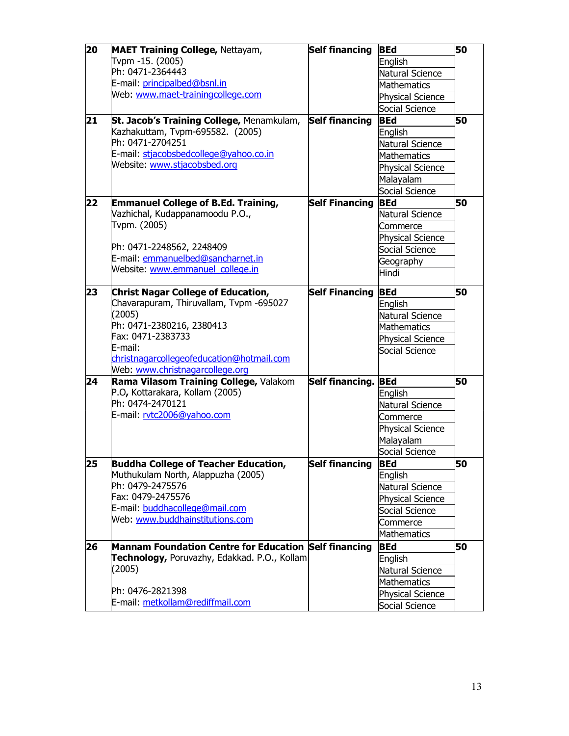| 20 | <b>MAET Training College, Nettayam,</b>               | <b>Self financing</b> | <b>BEd</b>              | 50 |
|----|-------------------------------------------------------|-----------------------|-------------------------|----|
|    | Tvpm -15. (2005)                                      |                       | English                 |    |
|    | Ph: 0471-2364443                                      |                       | Natural Science         |    |
|    | E-mail: principalbed@bsnl.in                          |                       | <b>Mathematics</b>      |    |
|    | Web: www.maet-trainingcollege.com                     |                       | <b>Physical Science</b> |    |
|    |                                                       |                       | Social Science          |    |
| 21 | St. Jacob's Training College, Menamkulam,             | <b>Self financing</b> | <b>BEd</b>              | 50 |
|    | Kazhakuttam, Tvpm-695582. (2005)                      |                       | English                 |    |
|    | Ph: 0471-2704251                                      |                       | Natural Science         |    |
|    | E-mail: stjacobsbedcollege@yahoo.co.in                |                       | Mathematics             |    |
|    | Website: www.stjacobsbed.org                          |                       | Physical Science        |    |
|    |                                                       |                       | Malayalam               |    |
|    |                                                       |                       | Social Science          |    |
| 22 | <b>Emmanuel College of B.Ed. Training,</b>            | <b>Self Financing</b> | <b>BEd</b>              | 50 |
|    | Vazhichal, Kudappanamoodu P.O.,                       |                       | Natural Science         |    |
|    | Tvpm. (2005)                                          |                       | Commerce                |    |
|    |                                                       |                       | <b>Physical Science</b> |    |
|    | Ph: 0471-2248562, 2248409                             |                       | Social Science          |    |
|    | E-mail: emmanuelbed@sancharnet.in                     |                       | Geography               |    |
|    | Website: www.emmanuel college.in                      |                       | Hindi                   |    |
|    |                                                       |                       |                         |    |
| 23 | <b>Christ Nagar College of Education,</b>             | <b>Self Financing</b> | <b>BEd</b>              | 50 |
|    | Chavarapuram, Thiruvallam, Tvpm -695027               |                       | English                 |    |
|    | (2005)                                                |                       | Natural Science         |    |
|    | Ph: 0471-2380216, 2380413<br>Fax: 0471-2383733        |                       | <b>Mathematics</b>      |    |
|    | E-mail:                                               |                       | <b>Physical Science</b> |    |
|    | christnagarcollegeofeducation@hotmail.com             |                       | Social Science          |    |
|    | Web: www.christnagarcollege.org                       |                       |                         |    |
| 24 | Rama Vilasom Training College, Valakom                | Self financing. BEd   |                         | 50 |
|    | P.O, Kottarakara, Kollam (2005)                       |                       | English                 |    |
|    | Ph: 0474-2470121                                      |                       | Natural Science         |    |
|    | E-mail: rvtc2006@yahoo.com                            |                       | Commerce                |    |
|    |                                                       |                       | Physical Science        |    |
|    |                                                       |                       | Malayalam               |    |
|    |                                                       |                       | Social Science          |    |
| 25 | <b>Buddha College of Teacher Education,</b>           | <b>Self financing</b> | <b>BEd</b>              | 50 |
|    | Muthukulam North, Alappuzha (2005)                    |                       | English                 |    |
|    | Ph: 0479-2475576                                      |                       | Natural Science         |    |
|    | Fax: 0479-2475576                                     |                       | Physical Science        |    |
|    | E-mail: buddhacollege@mail.com                        |                       | Social Science          |    |
|    | Web: www.buddhainstitutions.com                       |                       |                         |    |
|    |                                                       |                       | Commerce<br>Mathematics |    |
|    |                                                       |                       |                         |    |
| 26 | Mannam Foundation Centre for Education Self financing |                       | <b>BEd</b>              | 50 |
|    | Technology, Poruvazhy, Edakkad. P.O., Kollam          |                       | English                 |    |
|    | (2005)                                                |                       | Natural Science         |    |
|    | Ph: 0476-2821398                                      |                       | Mathematics             |    |
|    | E-mail: metkollam@rediffmail.com                      |                       | Physical Science        |    |
|    |                                                       |                       | Social Science          |    |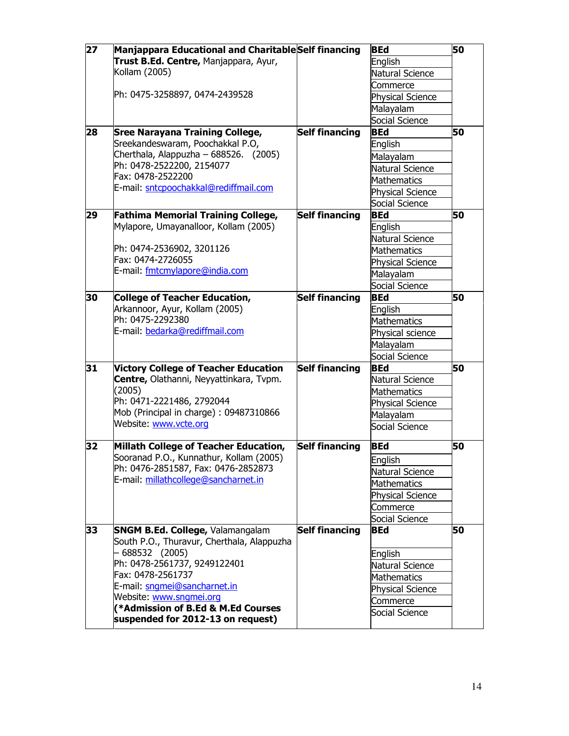| $\overline{27}$ | Manjappara Educational and Charitable Self financing                                  |                       | <b>BEd</b>              | 50 |
|-----------------|---------------------------------------------------------------------------------------|-----------------------|-------------------------|----|
|                 | Trust B.Ed. Centre, Manjappara, Ayur,                                                 |                       | English                 |    |
|                 | Kollam (2005)                                                                         |                       | Natural Science         |    |
|                 |                                                                                       |                       | Commerce                |    |
|                 | Ph: 0475-3258897, 0474-2439528                                                        |                       | <b>Physical Science</b> |    |
|                 |                                                                                       |                       | Malayalam               |    |
|                 |                                                                                       |                       | Social Science          |    |
| 28              | <b>Sree Narayana Training College,</b>                                                | <b>Self financing</b> | <b>BEd</b>              | 50 |
|                 | Sreekandeswaram, Poochakkal P.O,                                                      |                       | English                 |    |
|                 | Cherthala, Alappuzha - 688526. (2005)                                                 |                       | Malayalam               |    |
|                 | Ph: 0478-2522200, 2154077                                                             |                       |                         |    |
|                 | Fax: 0478-2522200                                                                     |                       | Natural Science         |    |
|                 | E-mail: sntcpoochakkal@rediffmail.com                                                 |                       | Mathematics             |    |
|                 |                                                                                       |                       | <b>Physical Science</b> |    |
|                 |                                                                                       |                       | Social Science          |    |
| 29              | <b>Fathima Memorial Training College,</b>                                             | <b>Self financing</b> | <b>BEd</b>              | 50 |
|                 | Mylapore, Umayanalloor, Kollam (2005)                                                 |                       | English                 |    |
|                 |                                                                                       |                       | <b>Natural Science</b>  |    |
|                 | Ph: 0474-2536902, 3201126<br>Fax: 0474-2726055                                        |                       | <b>Mathematics</b>      |    |
|                 | E-mail: fmtcmylapore@india.com                                                        |                       | Physical Science        |    |
|                 |                                                                                       |                       | Malayalam               |    |
|                 |                                                                                       |                       | Social Science          |    |
| 30              | <b>College of Teacher Education,</b>                                                  | <b>Self financing</b> | <b>BEd</b>              | 50 |
|                 | Arkannoor, Ayur, Kollam (2005)                                                        |                       | English                 |    |
|                 | Ph: 0475-2292380                                                                      |                       | <b>Mathematics</b>      |    |
|                 | E-mail: bedarka@rediffmail.com                                                        |                       | Physical science        |    |
|                 |                                                                                       |                       | Malayalam               |    |
|                 |                                                                                       |                       | Social Science          |    |
| 31              | <b>Victory College of Teacher Education</b>                                           | <b>Self financing</b> | <b>BEd</b>              | 50 |
|                 | Centre, Olathanni, Neyyattinkara, Tvpm.                                               |                       | Natural Science         |    |
|                 | (2005)                                                                                |                       | <b>Mathematics</b>      |    |
|                 | Ph: 0471-2221486, 2792044                                                             |                       | <b>Physical Science</b> |    |
|                 | Mob (Principal in charge): 09487310866                                                |                       | Malayalam               |    |
|                 | Website: www.vcte.org                                                                 |                       | Social Science          |    |
| 32              | Millath College of Teacher Education,                                                 | <b>Self financing</b> | <b>BEd</b>              | 50 |
|                 | Sooranad P.O., Kunnathur, Kollam (2005)                                               |                       | English                 |    |
|                 | Ph: 0476-2851587, Fax: 0476-2852873                                                   |                       | Natural Science         |    |
|                 | E-mail: millathcollege@sancharnet.in                                                  |                       | <b>Mathematics</b>      |    |
|                 |                                                                                       |                       | <b>Physical Science</b> |    |
|                 |                                                                                       |                       | Commerce                |    |
|                 |                                                                                       |                       | Social Science          |    |
|                 |                                                                                       | <b>Self financing</b> | <b>BEd</b>              | 50 |
| 33              | <b>SNGM B.Ed. College, Valamangalam</b><br>South P.O., Thuravur, Cherthala, Alappuzha |                       |                         |    |
|                 | - 688532 (2005)                                                                       |                       |                         |    |
|                 | Ph: 0478-2561737, 9249122401                                                          |                       | English                 |    |
|                 | Fax: 0478-2561737                                                                     |                       | Natural Science         |    |
|                 | E-mail: sngmei@sancharnet.in                                                          |                       | <b>Mathematics</b>      |    |
|                 | Website: www.sngmei.org                                                               |                       | <b>Physical Science</b> |    |
|                 | (*Admission of B.Ed & M.Ed Courses                                                    |                       | Commerce                |    |
|                 | suspended for 2012-13 on request)                                                     |                       | Social Science          |    |
|                 |                                                                                       |                       |                         |    |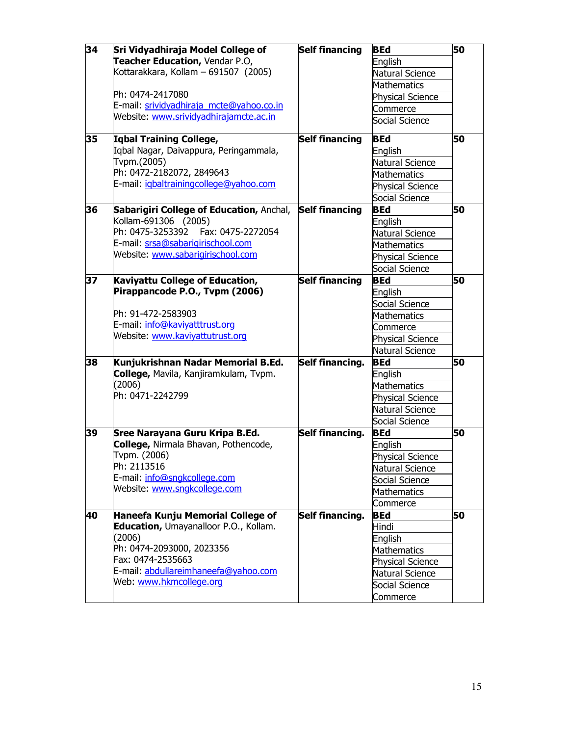| 34 | Sri Vidyadhiraja Model College of        | <b>Self financing</b> | <b>BEd</b>              | 50 |
|----|------------------------------------------|-----------------------|-------------------------|----|
|    | Teacher Education, Vendar P.O,           |                       | English                 |    |
|    | Kottarakkara, Kollam - 691507 (2005)     |                       | Natural Science         |    |
|    |                                          |                       | Mathematics             |    |
|    | Ph: 0474-2417080                         |                       | <b>Physical Science</b> |    |
|    | E-mail: srividyadhiraja mcte@yahoo.co.in |                       | Commerce                |    |
|    | Website: www.srividyadhirajamcte.ac.in   |                       | Social Science          |    |
| 35 | Iqbal Training College,                  | <b>Self financing</b> | <b>BEd</b>              | 50 |
|    | Iqbal Nagar, Daivappura, Peringammala,   |                       | English                 |    |
|    | Tvpm.(2005)                              |                       | Natural Science         |    |
|    | Ph: 0472-2182072, 2849643                |                       | Mathematics             |    |
|    | E-mail: igbaltrainingcollege@yahoo.com   |                       | Physical Science        |    |
|    |                                          |                       | Social Science          |    |
| 36 | Sabarigiri College of Education, Anchal, | <b>Self financing</b> | <b>BEd</b>              | 50 |
|    | Kollam-691306 (2005)                     |                       | English                 |    |
|    | Ph: 0475-3253392<br>Fax: 0475-2272054    |                       | Natural Science         |    |
|    | E-mail: srsa@sabarigirischool.com        |                       | <b>Mathematics</b>      |    |
|    | Website: www.sabarigirischool.com        |                       | <b>Physical Science</b> |    |
|    |                                          |                       | Social Science          |    |
| 37 | Kaviyattu College of Education,          | <b>Self financing</b> | <b>BEd</b>              | 50 |
|    | Pirappancode P.O., Tvpm (2006)           |                       | English                 |    |
|    |                                          |                       | Social Science          |    |
|    | Ph: 91-472-2583903                       |                       | <b>Mathematics</b>      |    |
|    | E-mail: info@kaviyatttrust.org           |                       | Commerce                |    |
|    | Website: www.kaviyattutrust.org          |                       | Physical Science        |    |
|    |                                          |                       | Natural Science         |    |
| 38 | Kunjukrishnan Nadar Memorial B.Ed.       | Self financing.       | <b>BEd</b>              | 50 |
|    | College, Mavila, Kanjiramkulam, Tvpm.    |                       | English                 |    |
|    | (2006)                                   |                       | Mathematics             |    |
|    | Ph: 0471-2242799                         |                       | <b>Physical Science</b> |    |
|    |                                          |                       | Natural Science         |    |
|    |                                          |                       | Social Science          |    |
| 39 | Sree Narayana Guru Kripa B.Ed.           | Self financing.       | <b>BEd</b>              | 50 |
|    | College, Nirmala Bhavan, Pothencode,     |                       | English                 |    |
|    | Tvpm. (2006)                             |                       | Physical Science        |    |
|    | Ph: 2113516                              |                       | Natural Science         |    |
|    | E-mail: info@sngkcollege.com             |                       | Social Science          |    |
|    | Website: www.sngkcollege.com             |                       | <b>Mathematics</b>      |    |
|    |                                          |                       | Commerce                |    |
| 40 | Haneefa Kunju Memorial College of        | Self financing.       | <b>BEd</b>              | 50 |
|    | Education, Umayanalloor P.O., Kollam.    |                       | Hindi                   |    |
|    | (2006)                                   |                       | English                 |    |
|    | Ph: 0474-2093000, 2023356                |                       | Mathematics             |    |
|    | Fax: 0474-2535663                        |                       | Physical Science        |    |
|    | E-mail: abdullareimhaneefa@yahoo.com     |                       | Natural Science         |    |
|    | Web: www.hkmcollege.org                  |                       | Social Science          |    |
|    |                                          |                       | Commerce                |    |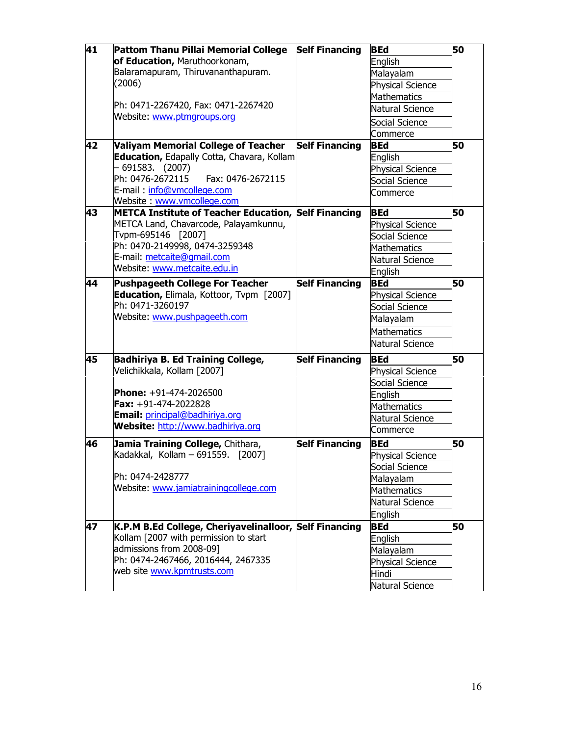| 41 | Pattom Thanu Pillai Memorial College                                                     | <b>Self Financing</b> | <b>BEd</b>              | 50 |
|----|------------------------------------------------------------------------------------------|-----------------------|-------------------------|----|
|    | of Education, Maruthoorkonam,                                                            |                       | English                 |    |
|    | Balaramapuram, Thiruvananthapuram.                                                       |                       | Malayalam               |    |
|    | (2006)                                                                                   |                       | <b>Physical Science</b> |    |
|    |                                                                                          |                       | Mathematics             |    |
|    | Ph: 0471-2267420, Fax: 0471-2267420                                                      |                       | Natural Science         |    |
|    | Website: www.ptmgroups.org                                                               |                       |                         |    |
|    |                                                                                          |                       | Social Science          |    |
|    |                                                                                          |                       | Commerce<br><b>BEd</b>  | 50 |
| 42 | <b>Valiyam Memorial College of Teacher</b><br>Education, Edapally Cotta, Chavara, Kollam | <b>Self Financing</b> |                         |    |
|    | 691583. (2007)                                                                           |                       | English                 |    |
|    | Ph: 0476-2672115<br>Fax: 0476-2672115                                                    |                       | <b>Physical Science</b> |    |
|    | E-mail: info@vmcollege.com                                                               |                       | Social Science          |    |
|    | Website: www.vmcollege.com                                                               |                       | Commerce                |    |
| 43 | <b>METCA Institute of Teacher Education, Self Financing</b>                              |                       | <b>BEd</b>              | 50 |
|    | METCA Land, Chavarcode, Palayamkunnu,                                                    |                       | Physical Science        |    |
|    | Tvpm-695146 [2007]                                                                       |                       | Social Science          |    |
|    | Ph: 0470-2149998, 0474-3259348                                                           |                       | Mathematics             |    |
|    | E-mail: metcaite@gmail.com                                                               |                       | Natural Science         |    |
|    | Website: www.metcaite.edu.in                                                             |                       | English                 |    |
| 44 | <b>Pushpageeth College For Teacher</b>                                                   | <b>Self Financing</b> | <b>BEd</b>              | 50 |
|    | Education, Elimala, Kottoor, Tvpm [2007]                                                 |                       | <b>Physical Science</b> |    |
|    | Ph: 0471-3260197                                                                         |                       | Social Science          |    |
|    | Website: www.pushpageeth.com                                                             |                       | Malayalam               |    |
|    |                                                                                          |                       |                         |    |
|    |                                                                                          |                       | <b>Mathematics</b>      |    |
|    |                                                                                          |                       | Natural Science         |    |
| 45 | <b>Badhiriya B. Ed Training College,</b>                                                 | <b>Self Financing</b> | <b>BEd</b>              | 50 |
|    | Velichikkala, Kollam [2007]                                                              |                       | <b>Physical Science</b> |    |
|    |                                                                                          |                       | Social Science          |    |
|    | Phone: +91-474-2026500                                                                   |                       | English                 |    |
|    | $\times$ +91-474-2022828                                                                 |                       | Mathematics             |    |
|    | Email: principal@badhiriya.org                                                           |                       | Natural Science         |    |
|    | Website: http://www.badhiriya.org                                                        |                       | Commerce                |    |
| 46 | Jamia Training College, Chithara,                                                        | <b>Self Financing</b> | <b>BEd</b>              | 50 |
|    | Kadakkal, Kollam - 691559.<br>[2007]                                                     |                       | <b>Physical Science</b> |    |
|    |                                                                                          |                       | Social Science          |    |
|    | Ph: 0474-2428777                                                                         |                       | Malayalam               |    |
|    | Website: www.jamiatrainingcollege.com                                                    |                       | Mathematics             |    |
|    |                                                                                          |                       | Natural Science         |    |
|    |                                                                                          |                       | English                 |    |
| 47 | K.P.M B.Ed College, Cheriyavelinalloor, Self Financing                                   |                       | <b>BEd</b>              | 50 |
|    | Kollam [2007 with permission to start                                                    |                       | English                 |    |
|    | admissions from 2008-09]                                                                 |                       | Malayalam               |    |
|    | Ph: 0474-2467466, 2016444, 2467335                                                       |                       | <b>Physical Science</b> |    |
|    | web site www.kpmtrusts.com                                                               |                       | Hindi                   |    |
|    |                                                                                          |                       | Natural Science         |    |
|    |                                                                                          |                       |                         |    |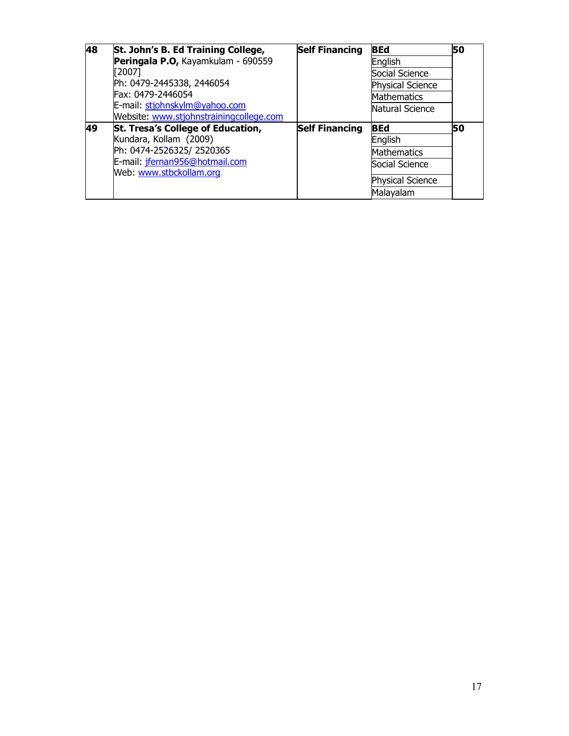| 48 | St. John's B. Ed Training College,       | <b>Self Financing</b> | <b>BEd</b>              | 50 |
|----|------------------------------------------|-----------------------|-------------------------|----|
|    | Peringala P.O, Kayamkulam - 690559       |                       | English                 |    |
|    | [2007]                                   |                       | Social Science          |    |
|    | Ph: 0479-2445338, 2446054                |                       | <b>Physical Science</b> |    |
|    | Fax: 0479-2446054                        |                       | <b>Mathematics</b>      |    |
|    | E-mail: stjohnskylm@yahoo.com            |                       | Natural Science         |    |
|    | Website: www.stjohnstrainingcollege.com  |                       |                         |    |
| 49 | <b>St. Tresa's College of Education,</b> | <b>Self Financing</b> | <b>BEd</b>              | 50 |
|    | Kundara, Kollam (2009)                   |                       | English                 |    |
|    | Ph: 0474-2526325/ 2520365                |                       | <b>Mathematics</b>      |    |
|    | E-mail: jfernan956@hotmail.com           |                       | Social Science          |    |
|    | Web: www.stbckollam.org                  |                       | Physical Science        |    |
|    |                                          |                       | Malayalam               |    |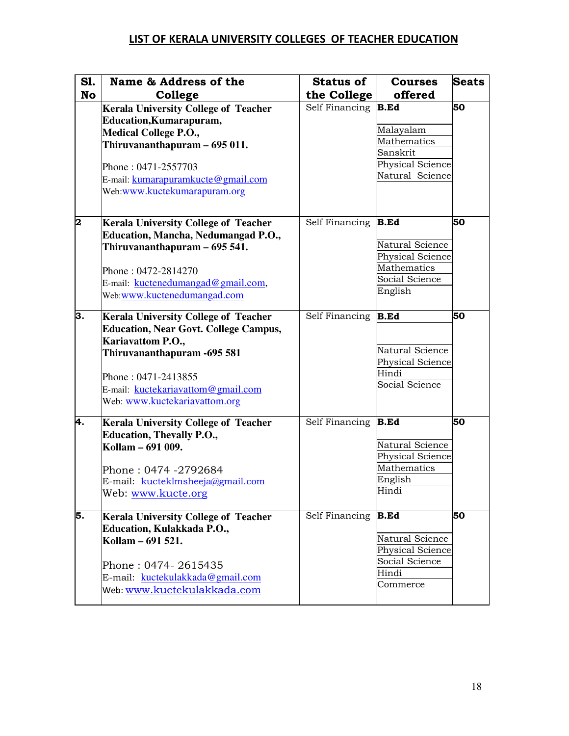## LIST OF KERALA UNIVERSITY COLLEGES OF TEACHER EDUCATION

| <b>S1.</b> | Name & Address of the                                                         | <b>Status of</b> | <b>Courses</b>                  | <b>Seats</b> |
|------------|-------------------------------------------------------------------------------|------------------|---------------------------------|--------------|
| <b>No</b>  | College                                                                       | the College      | offered                         |              |
|            | <b>Kerala University College of Teacher</b><br><b>Education, Kumarapuram,</b> | Self Financing   | <b>B.Ed</b>                     | 50           |
|            | <b>Medical College P.O.,</b>                                                  |                  | Malayalam                       |              |
|            | Thiruvananthapuram - 695 011.                                                 |                  | <b>Mathematics</b>              |              |
|            |                                                                               |                  | Sanskrit                        |              |
|            | Phone: 0471-2557703                                                           |                  | Physical Science                |              |
|            | E-mail: kumarapuramkucte@gmail.com                                            |                  | Natural Science                 |              |
|            | Web:www.kuctekumarapuram.org                                                  |                  |                                 |              |
| 2          | <b>Kerala University College of Teacher</b>                                   | Self Financing   | <b>B.Ed</b>                     | 50           |
|            | <b>Education, Mancha, Nedumangad P.O.,</b>                                    |                  |                                 |              |
|            | Thiruvananthapuram - 695 541.                                                 |                  | Natural Science                 |              |
|            |                                                                               |                  | Physical Science<br>Mathematics |              |
|            | Phone: 0472-2814270                                                           |                  | Social Science                  |              |
|            | E-mail: kuctenedumangad@gmail.com,                                            |                  | English                         |              |
|            | Web:www.kuctenedumangad.com                                                   |                  |                                 |              |
| З.         | <b>Kerala University College of Teacher</b>                                   | Self Financing   | <b>B.Ed</b>                     | 50           |
|            | <b>Education, Near Govt. College Campus,</b>                                  |                  |                                 |              |
|            | Kariavattom P.O.,                                                             |                  |                                 |              |
|            | Thiruvananthapuram - 695 581                                                  |                  | Natural Science                 |              |
|            |                                                                               |                  | Physical Science                |              |
|            | Phone: 0471-2413855                                                           |                  | Hindi<br>Social Science         |              |
|            | E-mail: kuctekariavattom@gmail.com                                            |                  |                                 |              |
|            | Web: www.kuctekariavattom.org                                                 |                  |                                 |              |
| 4.         | <b>Kerala University College of Teacher</b>                                   | Self Financing   | <b>B.Ed</b>                     | 50           |
|            | <b>Education, Thevally P.O.,</b>                                              |                  |                                 |              |
|            | Kollam – 691 009.                                                             |                  | Natural Science                 |              |
|            |                                                                               |                  | Physical Science                |              |
|            | Phone : 0474 -2792684                                                         |                  | <b>Mathematics</b>              |              |
|            | E-mail: kucteklmsheeja@gmail.com                                              |                  | English                         |              |
|            | Web: www.kucte.org                                                            |                  | Hindi                           |              |
| 5.         | <b>Kerala University College of Teacher</b>                                   | Self Financing   | <b>B.Ed</b>                     | 50           |
|            | Education, Kulakkada P.O.,                                                    |                  |                                 |              |
|            | Kollam – 691 521.                                                             |                  | Natural Science                 |              |
|            |                                                                               |                  | Physical Science                |              |
|            | Phone : 0474- 2615435                                                         |                  | Social Science                  |              |
|            | E-mail: kuctekulakkada@gmail.com                                              |                  | Hindi                           |              |
|            | Web: www.kuctekulakkada.com                                                   |                  | Commerce                        |              |
|            |                                                                               |                  |                                 |              |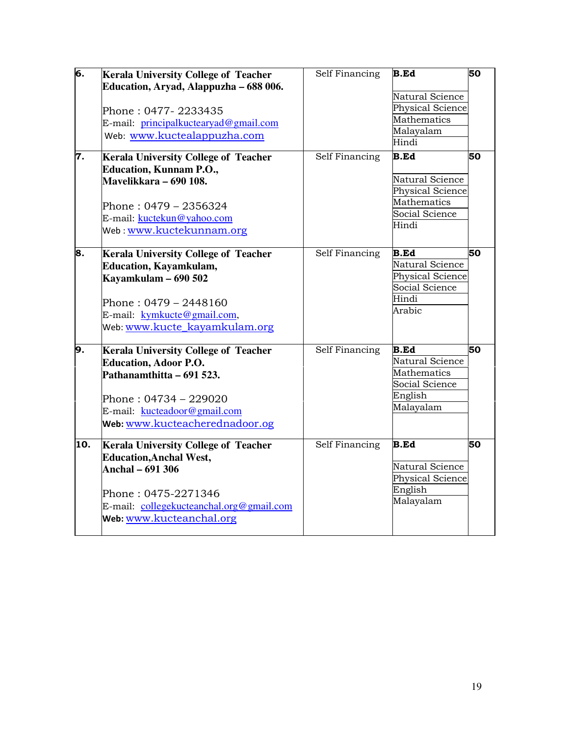| б.  | <b>Kerala University College of Teacher</b><br>Education, Aryad, Alappuzha - 688 006.<br>Phone : 0477- 2233435<br>E-mail: principalkuctearyad@gmail.com<br>Web: www.kuctealappuzha.com               | Self Financing        | <b>B.Ed</b><br>Natural Science<br><b>Physical Science</b><br>Mathematics<br>Malayalam<br>Hindi | 50 |
|-----|------------------------------------------------------------------------------------------------------------------------------------------------------------------------------------------------------|-----------------------|------------------------------------------------------------------------------------------------|----|
| 7.  | <b>Kerala University College of Teacher</b><br><b>Education, Kunnam P.O.,</b><br>Mavelikkara – 690 108.<br>Phone : 0479 – 2356324<br>E-mail: kuctekun@yahoo.com<br>Web: www.kuctekunnam.org          | <b>Self Financing</b> | <b>B.Ed</b><br>Natural Science<br>Physical Science<br>Mathematics<br>Social Science<br>Hindi   | 50 |
| 8.  | <b>Kerala University College of Teacher</b><br><b>Education, Kayamkulam,</b><br>Kayamkulam - 690 502<br>Phone: $0479 - 2448160$<br>E-mail: kymkucte@gmail.com,<br>Web: www.kucte_kayamkulam.org      | Self Financing        | <b>B.Ed</b><br>Natural Science<br>Physical Science<br>Social Science<br>Hindi<br>Arabic        | 50 |
| 9.  | <b>Kerala University College of Teacher</b><br><b>Education, Adoor P.O.</b><br>Pathanamthitta – 691 523.<br>Phone : 04734 – 229020<br>E-mail: kucteadoor@gmail.com<br>Web: www.kucteacherednadoor.og | Self Financing        | <b>B.Ed</b><br>Natural Science<br>Mathematics<br>Social Science<br>English<br>Malayalam        | 50 |
| 10. | <b>Kerala University College of Teacher</b><br><b>Education, Anchal West,</b><br>Anchal – 691 306<br>Phone: 0475-2271346<br>E-mail: collegekucteanchal.org@gmail.com<br>Web: www.kucteanchal.org     | Self Financing        | <b>B.Ed</b><br>Natural Science<br>Physical Science<br>English<br>Malayalam                     | 50 |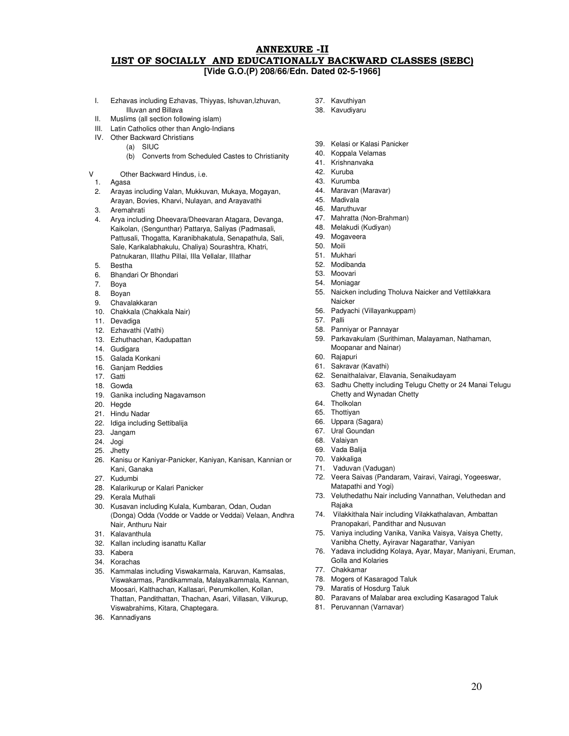## ANNEXURE -II LIST OF SOCIALLY AND EDUCATIONALLY BACKWARD CLASSES (SEBC) **[Vide G.O.(P) 208/66/Edn. Dated 02-5-1966]**

- I. Ezhavas including Ezhavas, Thiyyas, Ishuvan,Izhuvan, Illuvan and Billava
- II. Muslims (all section following islam)
- III. Latin Catholics other than Anglo-Indians
- IV. Other Backward Christians
	- (a) SIUC
		- (b) Converts from Scheduled Castes to Christianity

#### Other Backward Hindus, i.e.

- 1. Agasa
- 2. Arayas including Valan, Mukkuvan, Mukaya, Mogayan, Arayan, Bovies, Kharvi, Nulayan, and Arayavathi
- 3. Aremahrati
- 4. Arya including Dheevara/Dheevaran Atagara, Devanga, Kaikolan, (Sengunthar) Pattarya, Saliyas (Padmasali, Pattusali, Thogatta, Karanibhakatula, Senapathula, Sali, Sale, Karikalabhakulu, Chaliya) Sourashtra, Khatri, Patnukaran, IIIathu Pillai, IIIa Vellalar, IIIathar
- 5. Bestha
- 6. Bhandari Or Bhondari
- 7. Boya
- 8. Boyan
- 9. Chavalakkaran
- 10. Chakkala (Chakkala Nair)
- 11. Devadiga
- 12. Ezhavathi (Vathi)
- 13. Ezhuthachan, Kadupattan
- 14. Gudigara
- 15. Galada Konkani
- 16. Ganjam Reddies
- 17. Gatti
- 18. Gowda
- 19. Ganika including Nagavamson
- 20. Hegde
- 21. Hindu Nadar
- 22. Idiga including Settibalija
- 23. Jangam
- 24. Jogi 25. Jhetty
- 
- 26. Kanisu or Kaniyar-Panicker, Kaniyan, Kanisan, Kannian or Kani, Ganaka
- 27. Kudumbi
- 28. Kalarikurup or Kalari Panicker
- 29. Kerala Muthali
- 30. Kusavan including Kulala, Kumbaran, Odan, Oudan (Donga) Odda (Vodde or Vadde or Veddai) Velaan, Andhra Nair, Anthuru Nair
- 31. Kalavanthula
- 32. Kallan including isanattu Kallar
- 33. Kabera
- 34. Korachas
- 35. Kammalas including Viswakarmala, Karuvan, Kamsalas, Viswakarmas, Pandikammala, Malayalkammala, Kannan, Moosari, Kalthachan, Kallasari, Perumkollen, Kollan, Thattan, Pandithattan, Thachan, Asari, Villasan, Vilkurup, Viswabrahims, Kitara, Chaptegara.
- 36. Kannadiyans
- 37. Kavuthiyan
- 38. Kavudiyaru
- 39. Kelasi or Kalasi Panicker
- 40. Koppala Velamas
- 41. Krishnanvaka
- 42. Kuruba
- 43. Kurumba
- 44. Maravan (Maravar)
- 45. Madivala
- 46. Maruthuvar
- 47. Mahratta (Non-Brahman)
- 48. Melakudi (Kudiyan)
- 49. Mogaveera
- 50. Moili
- 51. Mukhari
- 52. Modibanda
- 53. Moovari
- 54. Moniagar
- 55. Naicken including Tholuva Naicker and Vettilakkara **Naicker**
- 56. Padyachi (Villayankuppam)
- 57. Palli
- 58. Panniyar or Pannayar
- 59. Parkavakulam (Surithiman, Malayaman, Nathaman, Moopanar and Nainar)
- 60. Rajapuri
- 61. Sakravar (Kavathi)
- 62. Senaithalaivar, Elavania, Senaikudayam
- 63. Sadhu Chetty including Telugu Chetty or 24 Manai Telugu Chetty and Wynadan Chetty
- 64. Tholkolan
- 65. Thottiyan
- 66. Uppara (Sagara)
- 67. Ural Goundan
- 68. Valaiyan
- 69. Vada Balija
- 70. Vakkaliga
- 71. Vaduvan (Vadugan)
- 72. Veera Saivas (Pandaram, Vairavi, Vairagi, Yogeeswar, Matapathi and Yogi)
- 73. Veluthedathu Nair including Vannathan, Veluthedan and Rajaka
- 74. Vilakkithala Nair including Vilakkathalavan, Ambattan Pranopakari, Pandithar and Nusuvan
- 75. Vaniya including Vanika, Vanika Vaisya, Vaisya Chetty, Vanibha Chetty, Ayiravar Nagarathar, Vaniyan
- 76. Yadava includidng Kolaya, Ayar, Mayar, Maniyani, Eruman, Golla and Kolaries
- 77. Chakkamar
- 78. Mogers of Kasaragod Taluk
- 79. Maratis of Hosdurg Taluk
- 80. Paravans of Malabar area excluding Kasaragod Taluk
- 81. Peruvannan (Varnavar)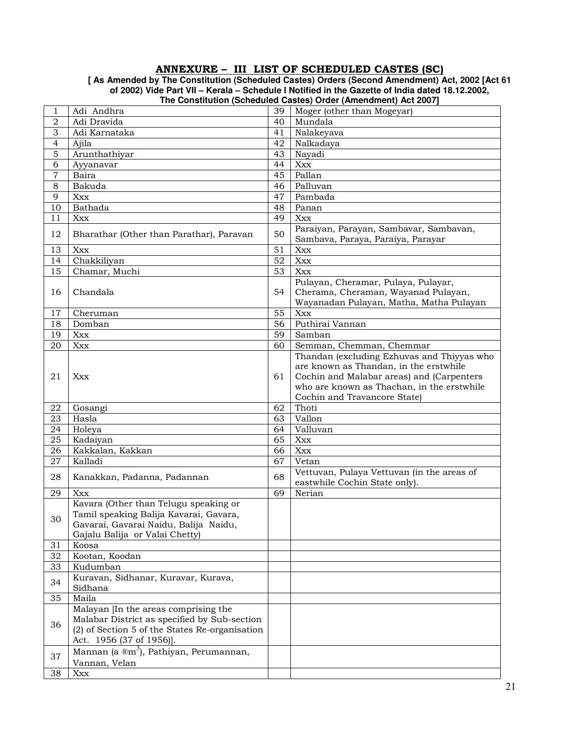## ANNEXURE – III LIST OF SCHEDULED CASTES (SC)

**[ As Amended by The Constitution (Scheduled Castes) Orders (Second Amendment) Act, 2002 [Act 61 of 2002) Vide Part VII – Kerala – Schedule I Notified in the Gazette of India dated 18.12.2002, The Constitution (Scheduled Castes) Order (Amendment) Act 2007]** 

|                |                                                                                                                                                                    |          | The Constitution (Scheduled Castes) Order (Americanemy Act 2007)                                                                                                                |
|----------------|--------------------------------------------------------------------------------------------------------------------------------------------------------------------|----------|---------------------------------------------------------------------------------------------------------------------------------------------------------------------------------|
| 1              | Adi Andhra                                                                                                                                                         | 39       | Moger (other than Mogeyar)                                                                                                                                                      |
| $\sqrt{2}$     | Adi Dravida                                                                                                                                                        | 40       | Mundala                                                                                                                                                                         |
| 3              | Adi Karnataka                                                                                                                                                      | 41       | Nalakeyava                                                                                                                                                                      |
| $\overline{4}$ | Ajila                                                                                                                                                              | 42       | Nalkadaya                                                                                                                                                                       |
| 5              | Arunthathiyar                                                                                                                                                      | 43       | Nayadi                                                                                                                                                                          |
| 6              | Ayyanavar                                                                                                                                                          | 44       | Xxx                                                                                                                                                                             |
| $\overline{7}$ | Baira                                                                                                                                                              | 45       | Pallan                                                                                                                                                                          |
| 8              | Bakuda                                                                                                                                                             | 46       | Palluvan                                                                                                                                                                        |
| 9              | Xxx                                                                                                                                                                | 47       | Pambada                                                                                                                                                                         |
| 10             | Bathada                                                                                                                                                            | 48       | Panan                                                                                                                                                                           |
| 11             | Xxx                                                                                                                                                                | 49       | Xxx                                                                                                                                                                             |
| 12             | Bharathar (Other than Parathar), Paravan                                                                                                                           | 50       | Paraiyan, Parayan, Sambavar, Sambavan,<br>Sambava, Paraya, Paraiya, Parayar                                                                                                     |
| 13             | Xxx                                                                                                                                                                | 51       | Xxx                                                                                                                                                                             |
| 14             | Chakkiliyan                                                                                                                                                        | 52       | Xxx                                                                                                                                                                             |
| 15             | Chamar, Muchi                                                                                                                                                      | 53       | Xxx                                                                                                                                                                             |
|                |                                                                                                                                                                    |          | Pulayan, Cheramar, Pulaya, Pulayar,                                                                                                                                             |
| 16             | Chandala                                                                                                                                                           | 54       | Cherama, Cheraman, Wayanad Pulayan,                                                                                                                                             |
|                |                                                                                                                                                                    |          | Wayanadan Pulayan, Matha, Matha Pulayan                                                                                                                                         |
| 17             | Cheruman                                                                                                                                                           | 55       | Xxx                                                                                                                                                                             |
| 18             | Domban                                                                                                                                                             | 56       | Puthirai Vannan                                                                                                                                                                 |
| 19             | Xxx                                                                                                                                                                | 59       | Samban                                                                                                                                                                          |
| 20             | Xxx                                                                                                                                                                | 60       | Semman, Chemman, Chemmar                                                                                                                                                        |
| 21             | Xxx                                                                                                                                                                | 61       | Thandan (excluding Ezhuvas and Thiyyas who<br>are known as Thandan, in the erstwhile<br>Cochin and Malabar areas) and (Carpenters<br>who are known as Thachan, in the erstwhile |
|                |                                                                                                                                                                    |          | Cochin and Travancore State)<br>Thoti                                                                                                                                           |
| 22             | Gosangi                                                                                                                                                            | 62       | Vallon                                                                                                                                                                          |
| 23             | Hasla                                                                                                                                                              | 63       |                                                                                                                                                                                 |
| 24             | Holeya                                                                                                                                                             | 64<br>65 | Valluvan                                                                                                                                                                        |
| 25             | Kadaiyan                                                                                                                                                           |          | Xxx                                                                                                                                                                             |
| 26             | Kakkalan, Kakkan                                                                                                                                                   | 66       | $X$ $XX$                                                                                                                                                                        |
| 27             | Kalladi                                                                                                                                                            | 67       | Vetan                                                                                                                                                                           |
| 28             | Kanakkan, Padanna, Padannan                                                                                                                                        | 68       | Vettuvan, Pulaya Vettuvan (in the areas of<br>eastwhile Cochin State only).                                                                                                     |
| 29             | Xxx                                                                                                                                                                | 69       | Nerian                                                                                                                                                                          |
| 30             | Kavara (Other than Telugu speaking or<br>Tamil speaking Balija Kavarai, Gavara,<br>Gavarai, Gavarai Naidu, Balija Naidu,<br>Gajalu Balija or Valai Chetty)         |          |                                                                                                                                                                                 |
| 31             | Koosa                                                                                                                                                              |          |                                                                                                                                                                                 |
| 32             | Kootan, Koodan                                                                                                                                                     |          |                                                                                                                                                                                 |
| 33             | Kudumban                                                                                                                                                           |          |                                                                                                                                                                                 |
| 34             | Kuravan, Sidhanar, Kuravar, Kurava,<br>Sidhana                                                                                                                     |          |                                                                                                                                                                                 |
| 35             | Maila                                                                                                                                                              |          |                                                                                                                                                                                 |
| 36             | Malayan [In the areas comprising the<br>Malabar District as specified by Sub-section<br>(2) of Section 5 of the States Re-organisation<br>Act. 1956 (37 of 1956)]. |          |                                                                                                                                                                                 |
| 37             | Mannan (a ®m <sup>3</sup> ), Pathiyan, Perumannan,<br>Vannan, Velan                                                                                                |          |                                                                                                                                                                                 |
| 38             | Xxx                                                                                                                                                                |          |                                                                                                                                                                                 |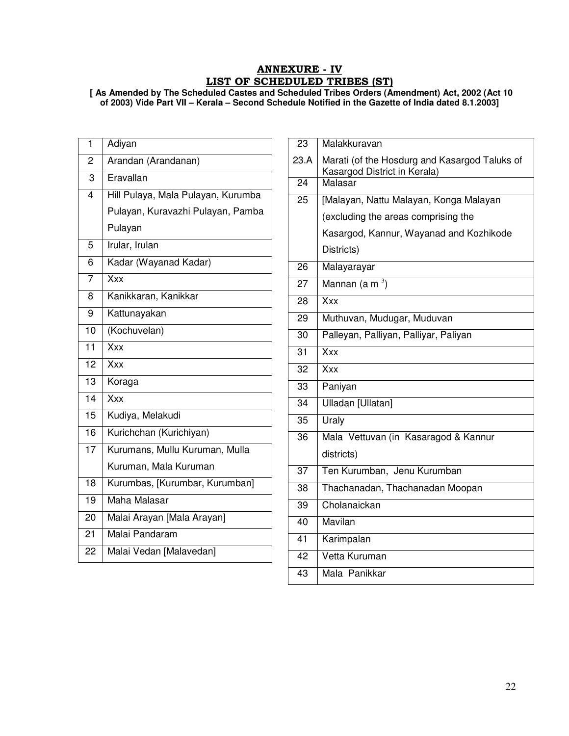## ANNEXURE - IV LIST OF SCHEDULED TRIBES (ST)

**[ As Amended by The Scheduled Castes and Scheduled Tribes Orders (Amendment) Act, 2002 (Act 10 of 2003) Vide Part VII – Kerala – Second Schedule Notified in the Gazette of India dated 8.1.2003]** 

| $\mathbf{1}$    | Adiyan                             |
|-----------------|------------------------------------|
| 2               | Arandan (Arandanan)                |
| 3               | Eravallan                          |
| $\overline{4}$  | Hill Pulaya, Mala Pulayan, Kurumba |
|                 | Pulayan, Kuravazhi Pulayan, Pamba  |
|                 | Pulayan                            |
| 5               | Irular, Irulan                     |
| 6               | Kadar (Wayanad Kadar)              |
| $\overline{7}$  | $\overline{X}$                     |
| 8               | Kanikkaran, Kanikkar               |
| 9               | Kattunayakan                       |
| 10              | (Kochuvelan)                       |
| $\overline{11}$ | Xxx                                |
| 12              | Xxx                                |
| $\overline{13}$ | Koraga                             |
| $\overline{14}$ | Xxx                                |
| 15              | Kudiya, Melakudi                   |
| 16              | Kurichchan (Kurichiyan)            |
| $\overline{17}$ | Kurumans, Mullu Kuruman, Mulla     |
|                 | Kuruman, Mala Kuruman              |
| $\overline{18}$ | Kurumbas, [Kurumbar, Kurumban]     |
| 19              | Maha Malasar                       |
| 20              | Malai Arayan [Mala Arayan]         |
| 21              | Malai Pandaram                     |
| 22              | Malai Vedan [Malavedan]            |

| 23   | Malakkuravan                                                                  |
|------|-------------------------------------------------------------------------------|
| 23.A | Marati (of the Hosdurg and Kasargod Taluks of<br>Kasargod District in Kerala) |
| 24   | Malasar                                                                       |
| 25   | [Malayan, Nattu Malayan, Konga Malayan                                        |
|      | (excluding the areas comprising the                                           |
|      | Kasargod, Kannur, Wayanad and Kozhikode                                       |
|      | Districts)                                                                    |
| 26   | Malayarayar                                                                   |
| 27   | Mannan (a m $^3$ )                                                            |
| 28   | Xxx                                                                           |
| 29   | Muthuvan, Mudugar, Muduvan                                                    |
| 30   | Palleyan, Palliyan, Palliyar, Paliyan                                         |
| 31   | Xxx                                                                           |
| 32   | Xxx                                                                           |
| 33   | Paniyan                                                                       |
| 34   | Ulladan [Ullatan]                                                             |
| 35   | Uraly                                                                         |
| 36   | Mala Vettuvan (in Kasaragod & Kannur                                          |
|      | districts)                                                                    |
| 37   | Ten Kurumban, Jenu Kurumban                                                   |
| 38   | Thachanadan, Thachanadan Moopan                                               |
| 39   | Cholanaickan                                                                  |
| 40   | Mavilan                                                                       |
| 41   | Karimpalan                                                                    |
| 42   | Vetta Kuruman                                                                 |
| 43   | Mala Panikkar                                                                 |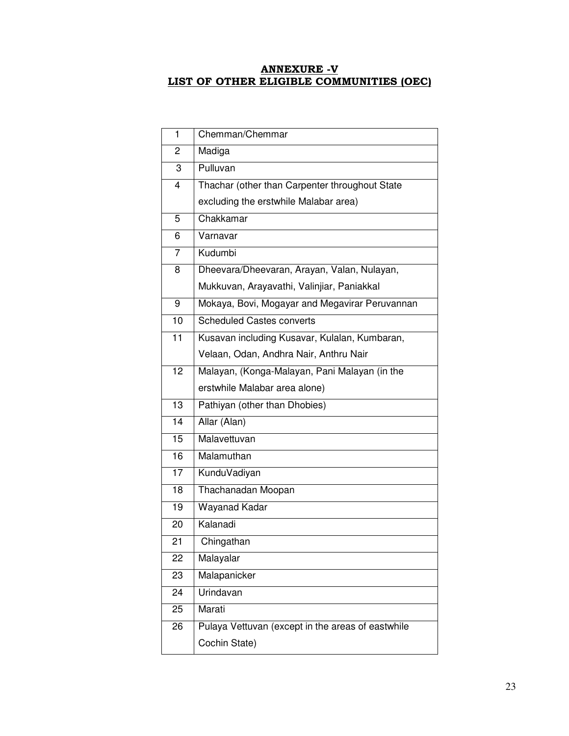## ANNEXURE -V LIST OF OTHER ELIGIBLE COMMUNITIES (OEC)

|                                                         | 1                  | Chemman/Chemmar                                |  |  |  |  |  |
|---------------------------------------------------------|--------------------|------------------------------------------------|--|--|--|--|--|
|                                                         | 2                  | Madiga                                         |  |  |  |  |  |
|                                                         | 3                  | Pulluvan                                       |  |  |  |  |  |
|                                                         | 4                  | Thachar (other than Carpenter throughout State |  |  |  |  |  |
|                                                         |                    | excluding the erstwhile Malabar area)          |  |  |  |  |  |
|                                                         | 5                  | Chakkamar                                      |  |  |  |  |  |
|                                                         | 6                  | Varnavar                                       |  |  |  |  |  |
|                                                         | $\overline{7}$     | Kudumbi                                        |  |  |  |  |  |
|                                                         | 8                  | Dheevara/Dheevaran, Arayan, Valan, Nulayan,    |  |  |  |  |  |
|                                                         |                    | Mukkuvan, Arayavathi, Valinjiar, Paniakkal     |  |  |  |  |  |
|                                                         | 9                  | Mokaya, Bovi, Mogayar and Megavirar Peruvannan |  |  |  |  |  |
|                                                         | 10                 | <b>Scheduled Castes converts</b>               |  |  |  |  |  |
|                                                         | 11                 | Kusavan including Kusavar, Kulalan, Kumbaran,  |  |  |  |  |  |
|                                                         |                    | Velaan, Odan, Andhra Nair, Anthru Nair         |  |  |  |  |  |
|                                                         | 12                 | Malayan, (Konga-Malayan, Pani Malayan (in the  |  |  |  |  |  |
|                                                         |                    | erstwhile Malabar area alone)                  |  |  |  |  |  |
| 13<br>Pathiyan (other than Dhobies)                     |                    |                                                |  |  |  |  |  |
|                                                         | Allar (Alan)<br>14 |                                                |  |  |  |  |  |
|                                                         | 15                 | Malavettuvan                                   |  |  |  |  |  |
|                                                         | 16                 | Malamuthan                                     |  |  |  |  |  |
|                                                         | 17                 | KunduVadiyan                                   |  |  |  |  |  |
|                                                         | 18                 | Thachanadan Moopan                             |  |  |  |  |  |
|                                                         | 19                 | Wayanad Kadar                                  |  |  |  |  |  |
|                                                         | 20                 | Kalanadi                                       |  |  |  |  |  |
|                                                         | 21                 | Chingathan                                     |  |  |  |  |  |
|                                                         | 22                 | Malayalar                                      |  |  |  |  |  |
|                                                         | 23                 | Malapanicker                                   |  |  |  |  |  |
|                                                         | 24                 | Urindavan                                      |  |  |  |  |  |
|                                                         | 25                 | Marati                                         |  |  |  |  |  |
| Pulaya Vettuvan (except in the areas of eastwhile<br>26 |                    |                                                |  |  |  |  |  |
|                                                         |                    | Cochin State)                                  |  |  |  |  |  |
|                                                         |                    |                                                |  |  |  |  |  |